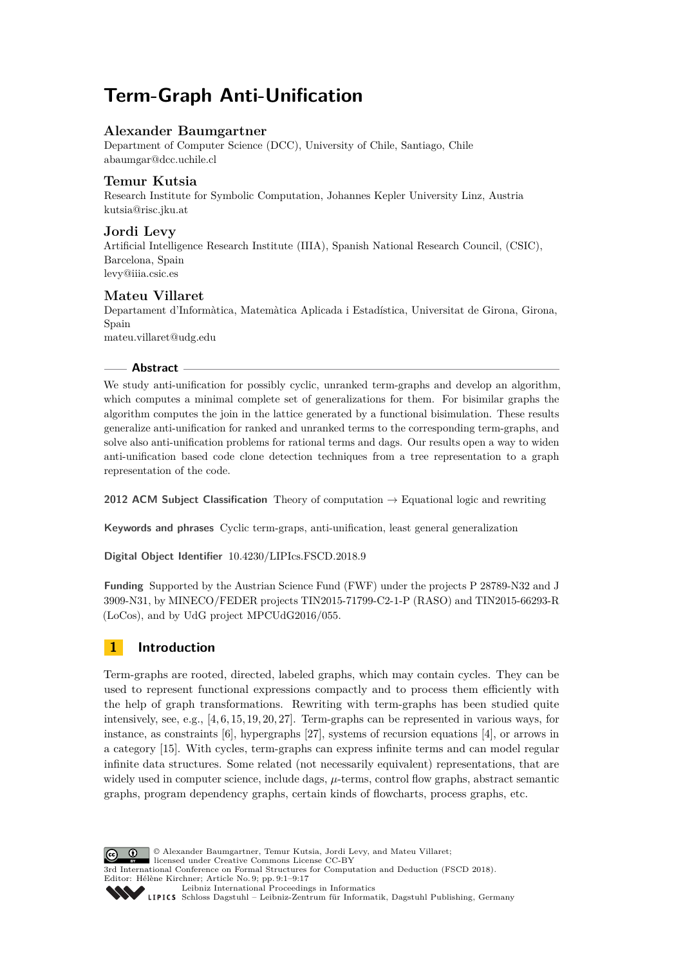# **Term-Graph Anti-Unification**

# **Alexander Baumgartner**

Department of Computer Science (DCC), University of Chile, Santiago, Chile [abaumgar@dcc.uchile.cl](mailto:abaumgar@dcc.uchile.cl)

# **Temur Kutsia**

Research Institute for Symbolic Computation, Johannes Kepler University Linz, Austria [kutsia@risc.jku.at](mailto:kutsia@risc.jku.at)

### **Jordi Levy**

Artificial Intelligence Research Institute (IIIA), Spanish National Research Council, (CSIC), Barcelona, Spain [levy@iiia.csic.es](mailto:levy@iiia.csic.es)

# **Mateu Villaret**

Departament d'Informàtica, Matemàtica Aplicada i Estadística, Universitat de Girona, Girona, Spain [mateu.villaret@udg.edu](mailto:mateu.villaret@udg.edu)

### **Abstract**

We study anti-unification for possibly cyclic, unranked term-graphs and develop an algorithm, which computes a minimal complete set of generalizations for them. For bisimilar graphs the algorithm computes the join in the lattice generated by a functional bisimulation. These results generalize anti-unification for ranked and unranked terms to the corresponding term-graphs, and solve also anti-unification problems for rational terms and dags. Our results open a way to widen anti-unification based code clone detection techniques from a tree representation to a graph representation of the code.

**2012 ACM Subject Classification** Theory of computation → Equational logic and rewriting

**Keywords and phrases** Cyclic term-graps, anti-unification, least general generalization

**Digital Object Identifier** [10.4230/LIPIcs.FSCD.2018.9](http://dx.doi.org/10.4230/LIPIcs.FSCD.2018.9)

**Funding** Supported by the Austrian Science Fund (FWF) under the projects P 28789-N32 and J 3909-N31, by MINECO/FEDER projects TIN2015-71799-C2-1-P (RASO) and TIN2015-66293-R (LoCos), and by UdG project MPCUdG2016/055.

# **1 Introduction**

Term-graphs are rooted, directed, labeled graphs, which may contain cycles. They can be used to represent functional expressions compactly and to process them efficiently with the help of graph transformations. Rewriting with term-graphs has been studied quite intensively, see, e.g., [\[4,](#page-14-0) [6,](#page-14-1) [15,](#page-15-0) [19,](#page-15-1) [20,](#page-15-2) [27\]](#page-15-3). Term-graphs can be represented in various ways, for instance, as constraints [\[6\]](#page-14-1), hypergraphs [\[27\]](#page-15-3), systems of recursion equations [\[4\]](#page-14-0), or arrows in a category [\[15\]](#page-15-0). With cycles, term-graphs can express infinite terms and can model regular infinite data structures. Some related (not necessarily equivalent) representations, that are widely used in computer science, include dags, *µ*-terms, control flow graphs, abstract semantic graphs, program dependency graphs, certain kinds of flowcharts, process graphs, etc.

**C**  $\bullet$  **0**  $\bullet$  Alexander Baumgartner, Temur Kutsia, Jordi Levy, and Mateu Villaret; licensed under Creative Commons License CC-BY 3rd International Conference on Formal Structures for Computation and Deduction (FSCD 2018). Editor: Hélène Kirchner; Article No. 9; pp. 9:1–9[:17](#page-16-0) [Leibniz International Proceedings in Informatics](http://www.dagstuhl.de/lipics/) [Schloss Dagstuhl – Leibniz-Zentrum für Informatik, Dagstuhl Publishing, Germany](http://www.dagstuhl.de)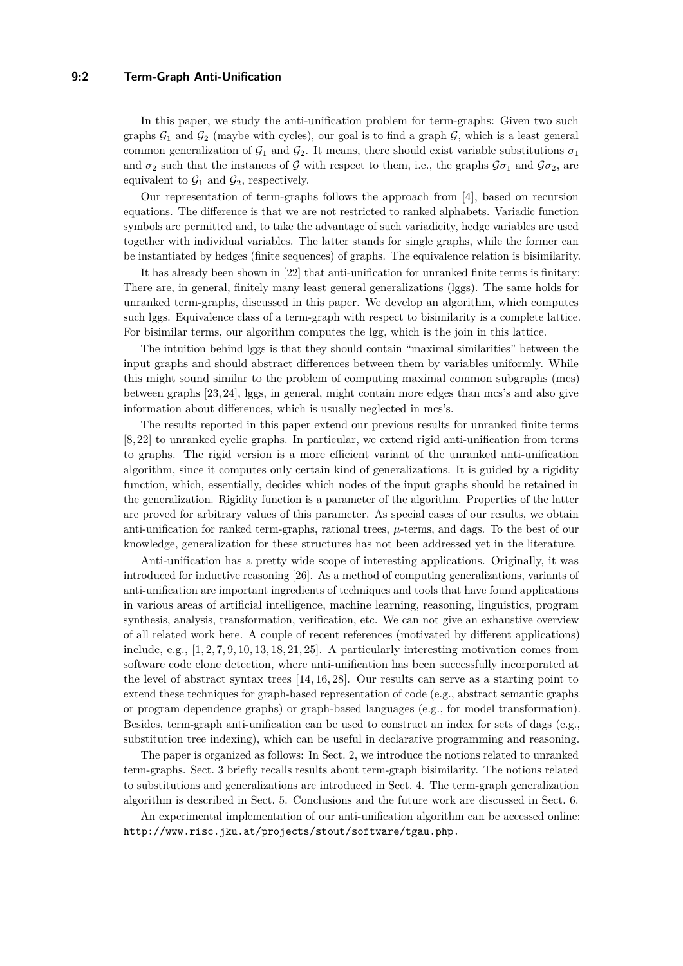### **9:2 Term-Graph Anti-Unification**

In this paper, we study the anti-unification problem for term-graphs: Given two such graphs  $G_1$  and  $G_2$  (maybe with cycles), our goal is to find a graph G, which is a least general common generalization of  $G_1$  and  $G_2$ . It means, there should exist variable substitutions  $\sigma_1$ and  $\sigma_2$  such that the instances of G with respect to them, i.e., the graphs  $\mathcal{G}\sigma_1$  and  $\mathcal{G}\sigma_2$ , are equivalent to  $\mathcal{G}_1$  and  $\mathcal{G}_2$ , respectively.

Our representation of term-graphs follows the approach from [\[4\]](#page-14-0), based on recursion equations. The difference is that we are not restricted to ranked alphabets. Variadic function symbols are permitted and, to take the advantage of such variadicity, hedge variables are used together with individual variables. The latter stands for single graphs, while the former can be instantiated by hedges (finite sequences) of graphs. The equivalence relation is bisimilarity.

It has already been shown in [\[22\]](#page-15-4) that anti-unification for unranked finite terms is finitary: There are, in general, finitely many least general generalizations (lggs). The same holds for unranked term-graphs, discussed in this paper. We develop an algorithm, which computes such lggs. Equivalence class of a term-graph with respect to bisimilarity is a complete lattice. For bisimilar terms, our algorithm computes the lgg, which is the join in this lattice.

The intuition behind lggs is that they should contain "maximal similarities" between the input graphs and should abstract differences between them by variables uniformly. While this might sound similar to the problem of computing maximal common subgraphs (mcs) between graphs [\[23,](#page-15-5) [24\]](#page-15-6), lggs, in general, might contain more edges than mcs's and also give information about differences, which is usually neglected in mcs's.

The results reported in this paper extend our previous results for unranked finite terms [\[8,](#page-14-2) [22\]](#page-15-4) to unranked cyclic graphs. In particular, we extend rigid anti-unification from terms to graphs. The rigid version is a more efficient variant of the unranked anti-unification algorithm, since it computes only certain kind of generalizations. It is guided by a rigidity function, which, essentially, decides which nodes of the input graphs should be retained in the generalization. Rigidity function is a parameter of the algorithm. Properties of the latter are proved for arbitrary values of this parameter. As special cases of our results, we obtain anti-unification for ranked term-graphs, rational trees,  $\mu$ -terms, and dags. To the best of our knowledge, generalization for these structures has not been addressed yet in the literature.

Anti-unification has a pretty wide scope of interesting applications. Originally, it was introduced for inductive reasoning [\[26\]](#page-15-7). As a method of computing generalizations, variants of anti-unification are important ingredients of techniques and tools that have found applications in various areas of artificial intelligence, machine learning, reasoning, linguistics, program synthesis, analysis, transformation, verification, etc. We can not give an exhaustive overview of all related work here. A couple of recent references (motivated by different applications) include, e.g.,  $[1, 2, 7, 9, 10, 13, 18, 21, 25]$  $[1, 2, 7, 9, 10, 13, 18, 21, 25]$  $[1, 2, 7, 9, 10, 13, 18, 21, 25]$  $[1, 2, 7, 9, 10, 13, 18, 21, 25]$  $[1, 2, 7, 9, 10, 13, 18, 21, 25]$  $[1, 2, 7, 9, 10, 13, 18, 21, 25]$  $[1, 2, 7, 9, 10, 13, 18, 21, 25]$  $[1, 2, 7, 9, 10, 13, 18, 21, 25]$  $[1, 2, 7, 9, 10, 13, 18, 21, 25]$ . A particularly interesting motivation comes from software code clone detection, where anti-unification has been successfully incorporated at the level of abstract syntax trees [\[14,](#page-15-11) [16,](#page-15-12) [28\]](#page-16-1). Our results can serve as a starting point to extend these techniques for graph-based representation of code (e.g., abstract semantic graphs or program dependence graphs) or graph-based languages (e.g., for model transformation). Besides, term-graph anti-unification can be used to construct an index for sets of dags (e.g., substitution tree indexing), which can be useful in declarative programming and reasoning.

The paper is organized as follows: In Sect. [2,](#page-2-0) we introduce the notions related to unranked term-graphs. Sect. [3](#page-4-0) briefly recalls results about term-graph bisimilarity. The notions related to substitutions and generalizations are introduced in Sect. [4.](#page-5-0) The term-graph generalization algorithm is described in Sect. [5.](#page-8-0) Conclusions and the future work are discussed in Sect. [6.](#page-14-9)

An experimental implementation of our anti-unification algorithm can be accessed online: [http://www.risc.jku.at/projects/stout/software/tgau.php.](http://www.risc.jku.at/projects/stout/software/tgau.php)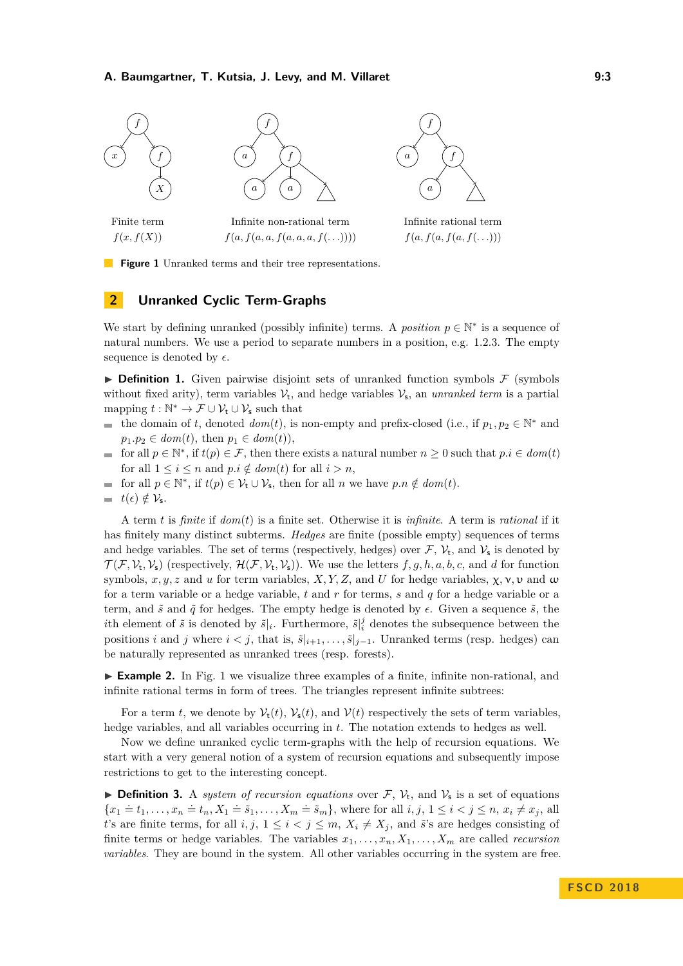<span id="page-2-1"></span>

**Figure 1** Unranked terms and their tree representations.

# <span id="page-2-0"></span>**2 Unranked Cyclic Term-Graphs**

We start by defining unranked (possibly infinite) terms. A *position*  $p \in \mathbb{N}^*$  is a sequence of natural numbers. We use a period to separate numbers in a position, e.g. 1*.*2*.*3. The empty sequence is denoted by  $\epsilon$ .

**Definition 1.** Given pairwise disjoint sets of unranked function symbols  $\mathcal{F}$  (symbols without fixed arity), term variables  $V_t$ , and hedge variables  $V_s$ , an *unranked term* is a partial mapping  $t : \mathbb{N}^* \to \mathcal{F} \cup \mathcal{V}_t \cup \mathcal{V}_s$  such that

- the domain of *t*, denoted  $dom(t)$ , is non-empty and prefix-closed (i.e., if  $p_1, p_2 \in \mathbb{N}^*$  and  $p_1 \cdot p_2 \in \text{dom}(t)$ , then  $p_1 \in \text{dom}(t)$ ),
- for all  $p \in \mathbb{N}^*$ , if  $t(p) \in \mathcal{F}$ , then there exists a natural number  $n \geq 0$  such that  $p.i \in dom(t)$  $\rightarrow$ for all  $1 \leq i \leq n$  and  $p.i \notin dom(t)$  for all  $i > n$ ,
- for all  $p \in \mathbb{N}^*$ , if  $t(p) \in \mathcal{V}_t \cup \mathcal{V}_s$ , then for all  $n$  we have  $p.n \notin dom(t)$ .  $\blacksquare$
- $\equiv$  $t(\epsilon) \notin \mathcal{V}_{\mathsf{s}}.$

A term *t* is *finite* if *dom*(*t*) is a finite set. Otherwise it is *infinite*. A term is *rational* if it has finitely many distinct subterms. *Hedges* are finite (possible empty) sequences of terms and hedge variables. The set of terms (respectively, hedges) over  $\mathcal{F}$ ,  $\mathcal{V}_t$ , and  $\mathcal{V}_s$  is denoted by  $\mathcal{T}(\mathcal{F}, \mathcal{V}_t, \mathcal{V}_s)$  (respectively,  $\mathcal{H}(\mathcal{F}, \mathcal{V}_t, \mathcal{V}_s)$ ). We use the letters  $f, g, h, a, b, c$ , and *d* for function symbols,  $x, y, z$  and  $u$  for term variables,  $X, Y, Z$ , and  $U$  for hedge variables,  $\chi, \nu, \nu$  and  $\omega$ for a term variable or a hedge variable, *t* and *r* for terms, *s* and *q* for a hedge variable or a term, and  $\tilde{s}$  and  $\tilde{q}$  for hedges. The empty hedge is denoted by  $\epsilon$ . Given a sequence  $\tilde{s}$ , the *i*th element of  $\tilde{s}$  is denoted by  $\tilde{s}|_i$ . Furthermore,  $\tilde{s}|_i^j$  denotes the subsequence between the positions *i* and *j* where  $i < j$ , that is,  $\tilde{s}|_{i+1}, \ldots, \tilde{s}|_{j-1}$ . Unranked terms (resp. hedges) can be naturally represented as unranked trees (resp. forests).

<span id="page-2-2"></span>► **Example 2.** In Fig. [1](#page-2-1) we visualize three examples of a finite, infinite non-rational, and infinite rational terms in form of trees. The triangles represent infinite subtrees:

For a term *t*, we denote by  $\mathcal{V}_t(t)$ ,  $\mathcal{V}_s(t)$ , and  $\mathcal{V}(t)$  respectively the sets of term variables, hedge variables, and all variables occurring in *t*. The notation extends to hedges as well.

Now we define unranked cyclic term-graphs with the help of recursion equations. We start with a very general notion of a system of recursion equations and subsequently impose restrictions to get to the interesting concept.

**Definition 3.** A *system of recursion equations* over  $\mathcal{F}$ ,  $\mathcal{V}_t$ , and  $\mathcal{V}_s$  is a set of equations  ${x_1 \triangleq t_1, \ldots, x_n \triangleq t_n, X_1 \triangleq \tilde{s}_1, \ldots, X_m \triangleq \tilde{s}_m}$ , where for all  $i, j, 1 \leq i < j \leq n, x_i \neq x_j$ , all *t*'s are finite terms, for all *i, j,*  $1 \leq i < j \leq m$ ,  $X_i \neq X_j$ , and  $\tilde{s}$ 's are hedges consisting of finite terms or hedge variables. The variables  $x_1, \ldots, x_n, X_1, \ldots, X_m$  are called *recursion variables*. They are bound in the system. All other variables occurring in the system are free.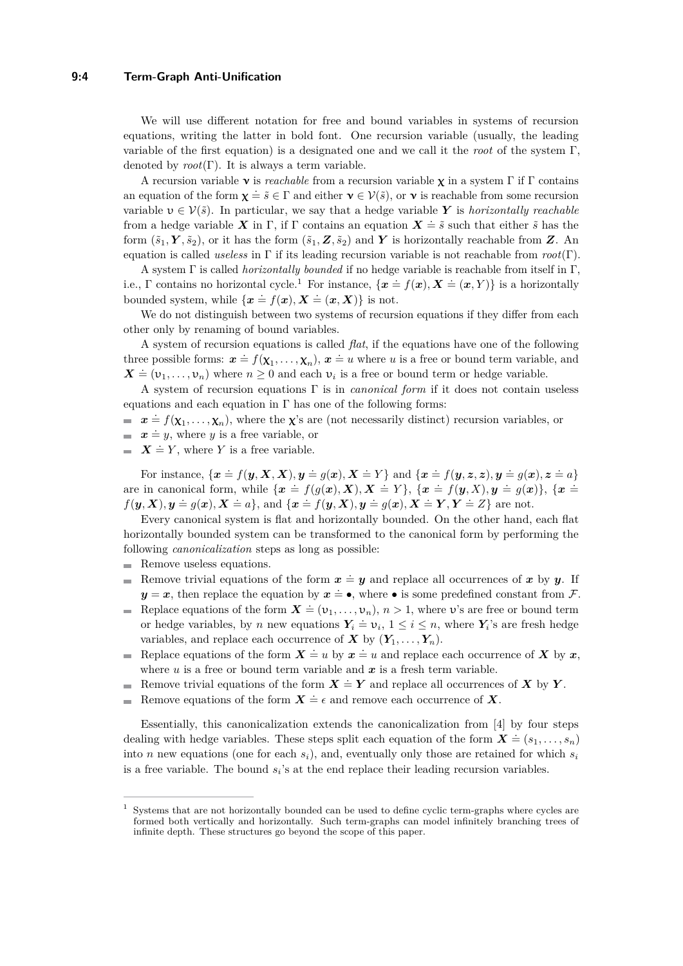### **9:4 Term-Graph Anti-Unification**

We will use different notation for free and bound variables in systems of recursion equations, writing the latter in bold font. One recursion variable (usually, the leading variable of the first equation) is a designated one and we call it the *root* of the system Γ, denoted by  $root(\Gamma)$ . It is always a term variable.

A recursion variable ν is *reachable* from a recursion variable χ in a system Γ if Γ contains an equation of the form  $\chi = \tilde{s} \in \Gamma$  and either  $\mathbf{v} \in \mathcal{V}(\tilde{s})$ , or  $\mathbf{v}$  is reachable from some recursion variable  $v \in V(\tilde{s})$ . In particular, we say that a hedge variable Y is *horizontally reachable* from a hedge variable *X* in Γ, if Γ contains an equation  $X = \tilde{s}$  such that either  $\tilde{s}$  has the form  $(\tilde{s}_1, Y, \tilde{s}_2)$ , or it has the form  $(\tilde{s}_1, Z, \tilde{s}_2)$  and *Y* is horizontally reachable from *Z*. An equation is called *useless* in Γ if its leading recursion variable is not reachable from *root*(Γ).

A system Γ is called *horizontally bounded* if no hedge variable is reachable from itself in Γ, i.e., Γ contains no horizontal cycle.<sup>[1](#page-3-0)</sup> For instance,  $\{x = f(x), X = (x, Y)\}$  is a horizontally bounded system, while  $\{x = f(x), X = (x, X)\}$  is not.

We do not distinguish between two systems of recursion equations if they differ from each other only by renaming of bound variables.

A system of recursion equations is called *flat*, if the equations have one of the following three possible forms:  $\mathbf{x} = f(\mathbf{x}_1, ..., \mathbf{x}_n)$ ,  $\mathbf{x} = u$  where *u* is a free or bound term variable, and  $\mathbf{X} \doteq (\mathbf{v}_1, \dots, \mathbf{v}_n)$  where  $n \geq 0$  and each  $\mathbf{v}_i$  is a free or bound term or hedge variable.

A system of recursion equations Γ is in *canonical form* if it does not contain useless equations and each equation in  $\Gamma$  has one of the following forms:

- $x = f(\mathbf{x}_1, \dots, \mathbf{x}_n)$ , where the **x**'s are (not necessarily distinct) recursion variables, or
- $\mathbf{x} = y$ , where *y* is a free variable, or
- $\overline{X} \doteq Y$ , where *Y* is a free variable.

For instance,  $\{x = f(y, X, X), y = g(x), X \doteq Y\}$  and  $\{x = f(y, z, z), y = g(x), z = a\}$ are in canonical form, while  $\{x = f(g(x), X), X = Y\}$ ,  $\{x = f(y, X), y = g(x)\}$ ,  $\{x = f(y, X), y = g(x)\}$  $f(\mathbf{y}, \mathbf{X}), \mathbf{y} \doteq g(\mathbf{x}), \mathbf{X} \doteq a\},$  and  $\{\mathbf{x} \doteq f(\mathbf{y}, \mathbf{X}), \mathbf{y} \doteq g(\mathbf{x}), \mathbf{X} \doteq \mathbf{Y}, \mathbf{Y} \doteq \mathbf{Z}\}$  are not.

Every canonical system is flat and horizontally bounded. On the other hand, each flat horizontally bounded system can be transformed to the canonical form by performing the following *canonicalization* steps as long as possible:

- Remove useless equations.  $\blacksquare$
- Remove trivial equations of the form  $x \doteq y$  and replace all occurrences of x by y. If  $y = x$ , then replace the equation by  $x = \bullet$ , where  $\bullet$  is some predefined constant from F.
- Replace equations of the form  $\mathbf{X} \doteq (\nu_1, \dots, \nu_n), n > 1$ , where  $\nu$ 's are free or bound term  $\blacksquare$ or hedge variables, by *n* new equations  $Y_i = v_i$ ,  $1 \le i \le n$ , where  $Y_i$ 's are fresh hedge variables, and replace each occurrence of  $X$  by  $(Y_1, \ldots, Y_n)$ .
- Replace equations of the form  $X = u$  by  $x = u$  and replace each occurrence of *X* by *x*, where  $u$  is a free or bound term variable and  $x$  is a fresh term variable.
- Remove trivial equations of the form  $X \doteq Y$  and replace all occurrences of  $X$  by  $Y$ .
- Remove equations of the form  $X = \epsilon$  and remove each occurrence of X. ÷

Essentially, this canonicalization extends the canonicalization from [\[4\]](#page-14-0) by four steps dealing with hedge variables. These steps split each equation of the form  $\mathbf{X} \doteq (s_1, \ldots, s_n)$ into *n* new equations (one for each *si*), and, eventually only those are retained for which *s<sup>i</sup>* is a free variable. The bound  $s_i$ 's at the end replace their leading recursion variables.

<span id="page-3-0"></span>Systems that are not horizontally bounded can be used to define cyclic term-graphs where cycles are formed both vertically and horizontally. Such term-graphs can model infinitely branching trees of infinite depth. These structures go beyond the scope of this paper.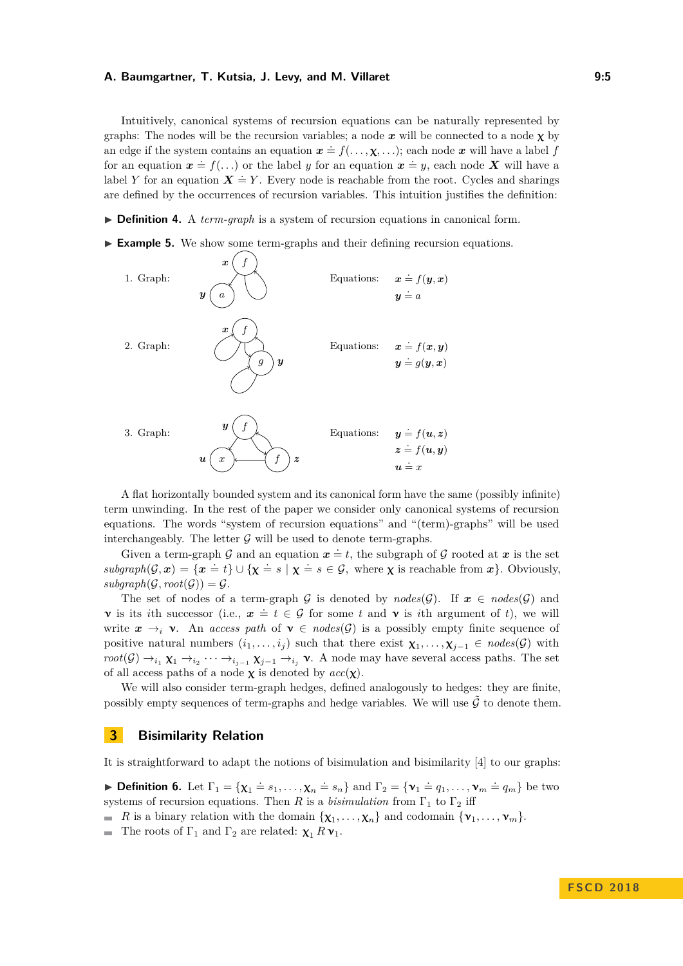Intuitively, canonical systems of recursion equations can be naturally represented by graphs: The nodes will be the recursion variables; a node  $x$  will be connected to a node  $\chi$  by an edge if the system contains an equation  $x = f(\ldots, \chi, \ldots)$ ; each node x will have a label *f* for an equation  $x \doteq f(..)$  or the label *y* for an equation  $x \doteq y$ , each node *X* will have a label *Y* for an equation  $X = Y$ . Every node is reachable from the root. Cycles and sharings are defined by the occurrences of recursion variables. This intuition justifies the definition:

▶ **Definition 4.** A *term-graph* is a system of recursion equations in canonical form.

<span id="page-4-1"></span>► **Example 5.** We show some term-graphs and their defining recursion equations.



A flat horizontally bounded system and its canonical form have the same (possibly infinite) term unwinding. In the rest of the paper we consider only canonical systems of recursion equations. The words "system of recursion equations" and "(term)-graphs" will be used interchangeably. The letter  $\mathcal G$  will be used to denote term-graphs.

Given a term-graph G and an equation  $x = t$ , the subgraph of G rooted at x is the set  $subgraph(\mathcal{G}, \mathbf{x}) = {\mathbf{x} = t} \cup {\mathbf{x} = s \mid \mathbf{x} = s \in \mathcal{G}}$ , where **x** is reachable from  $\mathbf{x}$ *}*. Obviously,  $subgraph(\mathcal{G}, root(\mathcal{G})) = \mathcal{G}.$ 

The set of nodes of a term-graph G is denoted by  $nodes(G)$ . If  $x \in nodes(G)$  and v is its *i*th successor (i.e.,  $x \neq t \in \mathcal{G}$  for some *t* and v is *i*th argument of *t*), we will write  $x \to_i \mathbf{v}$ . An *access path* of  $\mathbf{v} \in \mathit{nodes}(\mathcal{G})$  is a possibly empty finite sequence of positive natural numbers  $(i_1, \ldots, i_j)$  such that there exist  $\chi_1, \ldots, \chi_{j-1} \in \text{nodes}(\mathcal{G})$  with  $root(\mathcal{G}) \rightarrow_{i_1} \chi_1 \rightarrow_{i_2} \cdots \rightarrow_{i_{j-1}} \chi_{j-1} \rightarrow_{i_j} \nu$ . A node may have several access paths. The set of all access paths of a node  $\chi$  is denoted by  $acc(\chi)$ .

We will also consider term-graph hedges, defined analogously to hedges: they are finite, possibly empty sequences of term-graphs and hedge variables. We will use  $\tilde{\mathcal{G}}$  to denote them.

# <span id="page-4-0"></span>**3 Bisimilarity Relation**

It is straightforward to adapt the notions of bisimulation and bisimilarity [\[4\]](#page-14-0) to our graphs:

**Definition 6.** Let  $\Gamma_1 = {\chi_1 = s_1, \ldots, \chi_n = s_n}$  and  $\Gamma_2 = {\nu_1 = q_1, \ldots, \nu_m = q_m}$  be two systems of recursion equations. Then *R* is a *bisimulation* from  $\Gamma_1$  to  $\Gamma_2$  iff

- *R* is a binary relation with the domain  $\{\mathbf{x}_1, \ldots, \mathbf{x}_n\}$  and codomain  $\{\mathbf{v}_1, \ldots, \mathbf{v}_m\}$ .
- The roots of  $\Gamma_1$  and  $\Gamma_2$  are related:  $\chi_1 R \mathbf{v}_1$ .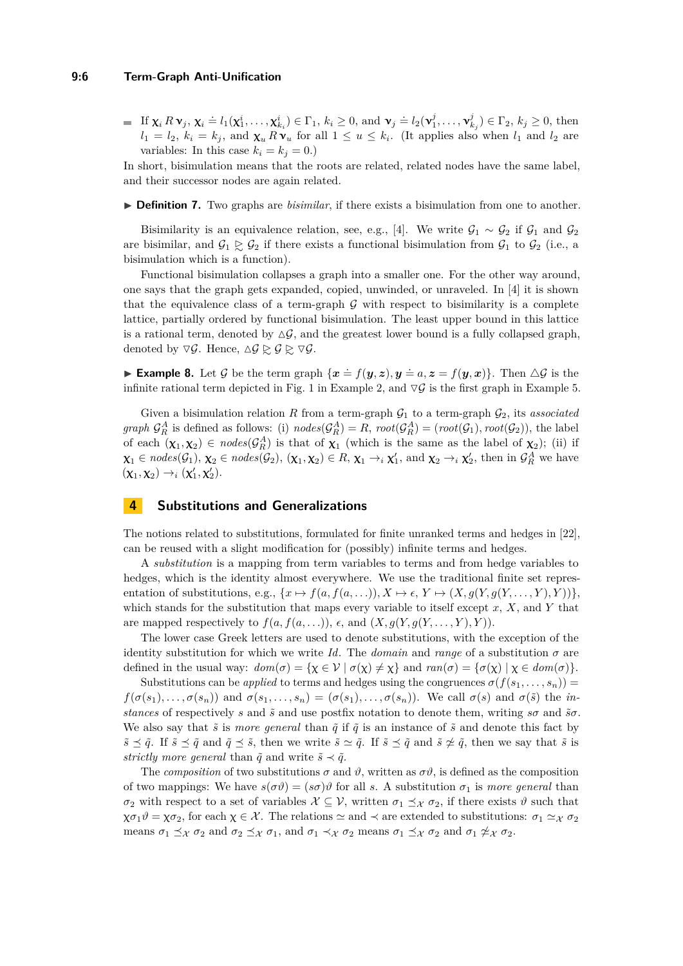### **9:6 Term-Graph Anti-Unification**

If  $\mathbf{x}_i R \mathbf{v}_j$ ,  $\mathbf{x}_i \doteq l_1(\mathbf{x}_1^i, \dots, \mathbf{x}_{k_i}^i) \in \Gamma_1$ ,  $k_i \geq 0$ , and  $\mathbf{v}_j \doteq l_2(\mathbf{v}_1^j, \dots, \mathbf{v}_{k_j}^j) \in \Gamma_2$ ,  $k_j \geq 0$ , then  $l_1 = l_2$ ,  $k_i = k_j$ , and  $\chi_u R v_u$  for all  $1 \le u \le k_i$ . (It applies also when  $l_1$  and  $l_2$  are variables: In this case  $k_i = k_j = 0.$ )

In short, bisimulation means that the roots are related, related nodes have the same label, and their successor nodes are again related.

▶ **Definition 7.** Two graphs are *bisimilar*, if there exists a bisimulation from one to another.

Bisimilarity is an equivalence relation, see, e.g., [\[4\]](#page-14-0). We write  $\mathcal{G}_1 \sim \mathcal{G}_2$  if  $\mathcal{G}_1$  and  $\mathcal{G}_2$ are bisimilar, and  $\mathcal{G}_1 \gtrsim \mathcal{G}_2$  if there exists a functional bisimulation from  $\mathcal{G}_1$  to  $\mathcal{G}_2$  (i.e., a bisimulation which is a function).

Functional bisimulation collapses a graph into a smaller one. For the other way around, one says that the graph gets expanded, copied, unwinded, or unraveled. In [\[4\]](#page-14-0) it is shown that the equivalence class of a term-graph  $\mathcal G$  with respect to bisimilarity is a complete lattice, partially ordered by functional bisimulation. The least upper bound in this lattice is a rational term, denoted by  $\Delta \mathcal{G}$ , and the greatest lower bound is a fully collapsed graph, denoted by  $\nabla \mathcal{G}$ . Hence,  $\Delta \mathcal{G} \geq \mathcal{G} \geq \nabla \mathcal{G}$ .

**Example 8.** Let G be the term graph  $\{x \neq f(y, z), y \neq a, z = f(y, x)\}$ . Then  $\triangle G$  is the infinite rational term depicted in Fig. [1](#page-2-1) in Example [2,](#page-2-2) and  $\nabla \mathcal{G}$  is the first graph in Example [5.](#page-4-1)

Given a bisimulation relation *R* from a term-graph  $\mathcal{G}_1$  to a term-graph  $\mathcal{G}_2$ , its *associated graph*  $\mathcal{G}_R^A$  is defined as follows: (i)  $nodes(\mathcal{G}_R^A) = R$ ,  $root(\mathcal{G}_R^A) = (root(\mathcal{G}_1), root(\mathcal{G}_2))$ , the label of each  $(\chi_1, \chi_2) \in nodes(\mathcal{G}_R^A)$  is that of  $\chi_1$  (which is the same as the label of  $\chi_2$ ); (ii) if  $\mathbf{x}_1 \in nodes(\mathcal{G}_1), \mathbf{x}_2 \in nodes(\mathcal{G}_2), (\mathbf{x}_1, \mathbf{x}_2) \in R, \mathbf{x}_1 \rightarrow_i \mathbf{x}'_1$ , and  $\mathbf{x}_2 \rightarrow_i \mathbf{x}'_2$ , then in  $\mathcal{G}_R^A$  we have  $(\mathbf{x}_1, \mathbf{x}_2) \rightarrow_i (\mathbf{x}'_1, \mathbf{x}'_2).$ 

### <span id="page-5-0"></span>**4 Substitutions and Generalizations**

The notions related to substitutions, formulated for finite unranked terms and hedges in [\[22\]](#page-15-4), can be reused with a slight modification for (possibly) infinite terms and hedges.

A *substitution* is a mapping from term variables to terms and from hedge variables to hedges, which is the identity almost everywhere. We use the traditional finite set representation of substitutions, e.g.,  $\{x \mapsto f(a, f(a, \ldots)), X \mapsto \epsilon, Y \mapsto (X, g(Y, g(Y, \ldots, Y), Y))\},\$ which stands for the substitution that maps every variable to itself except *x*, *X*, and *Y* that are mapped respectively to  $f(a, f(a, \ldots)), \epsilon$ , and  $(X, g(Y, g(Y, \ldots, Y), Y)).$ 

The lower case Greek letters are used to denote substitutions, with the exception of the identity substitution for which we write *Id*. The *domain* and *range* of a substitution  $\sigma$  are defined in the usual way:  $dom(\sigma) = {\chi \in \mathcal{V} \mid \sigma(\chi) \neq \chi}$  and  $ran(\sigma) = {\sigma(\chi) \mid \chi \in dom(\sigma)}$ .

Substitutions can be *applied* to terms and hedges using the congruences  $\sigma(f(s_1, \ldots, s_n))$  $f(\sigma(s_1),\ldots,\sigma(s_n))$  and  $\sigma(s_1,\ldots,s_n)=(\sigma(s_1),\ldots,\sigma(s_n))$ . We call  $\sigma(s)$  and  $\sigma(\tilde{s})$  the in*stances* of respectively *s* and  $\tilde{s}$  and use postfix notation to denote them, writing  $s\sigma$  and  $\tilde{s}\sigma$ . We also say that  $\tilde{s}$  is *more general* than  $\tilde{q}$  if  $\tilde{q}$  is an instance of  $\tilde{s}$  and denote this fact by  $\tilde{s} \preceq \tilde{q}$ . If  $\tilde{s} \preceq \tilde{q}$  and  $\tilde{q} \preceq \tilde{s}$ , then we write  $\tilde{s} \simeq \tilde{q}$ . If  $\tilde{s} \preceq \tilde{q}$  and  $\tilde{s} \not\approx \tilde{q}$ , then we say that  $\tilde{s}$  is *strictly more general* than  $\tilde{q}$  and write  $\tilde{s} \prec \tilde{q}$ .

The *composition* of two substitutions  $\sigma$  and  $\vartheta$ , written as  $\sigma \vartheta$ , is defined as the composition of two mappings: We have  $s(\sigma \vartheta) = (s\sigma)\vartheta$  for all *s*. A substitution  $\sigma_1$  is *more general* than *σ*<sub>2</sub> with respect to a set of variables  $X \subseteq V$ , written  $\sigma_1 \preceq_X \sigma_2$ , if there exists *θ* such that  $\chi \sigma_1 \vartheta = \chi \sigma_2$ , for each  $\chi \in \mathcal{X}$ . The relations  $\simeq$  and  $\prec$  are extended to substitutions:  $\sigma_1 \simeq_{\mathcal{X}} \sigma_2$ means  $\sigma_1 \preceq_{\mathcal{X}} \sigma_2$  and  $\sigma_2 \preceq_{\mathcal{X}} \sigma_1$ , and  $\sigma_1 \prec_{\mathcal{X}} \sigma_2$  means  $\sigma_1 \preceq_{\mathcal{X}} \sigma_2$  and  $\sigma_1 \npreceq_{\mathcal{X}} \sigma_2$ .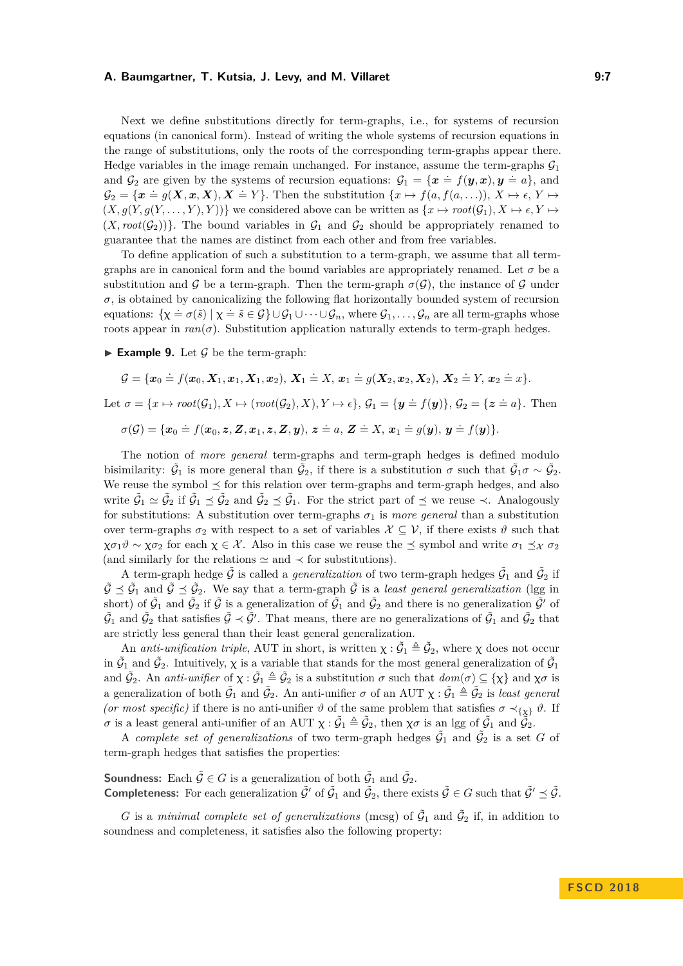Next we define substitutions directly for term-graphs, i.e., for systems of recursion equations (in canonical form). Instead of writing the whole systems of recursion equations in the range of substitutions, only the roots of the corresponding term-graphs appear there. Hedge variables in the image remain unchanged. For instance, assume the term-graphs  $\mathcal{G}_1$ and  $G_2$  are given by the systems of recursion equations:  $G_1 = \{x = f(y, x), y = a\}$ , and  $G_2 = \{x \doteq g(X, x, X), X \doteq Y\}$ . Then the substitution  $\{x \mapsto f(a, f(a, \ldots)), X \mapsto \epsilon, Y \mapsto f(a, f(a, \ldots))\}$  $(X, g(Y, g(Y, \ldots, Y), Y))$  we considered above can be written as  $\{x \mapsto root(\mathcal{G}_1), X \mapsto \epsilon, Y \mapsto \epsilon\}$  $(X, root(G_2))$ . The bound variables in  $G_1$  and  $G_2$  should be appropriately renamed to guarantee that the names are distinct from each other and from free variables.

To define application of such a substitution to a term-graph, we assume that all termgraphs are in canonical form and the bound variables are appropriately renamed. Let  $\sigma$  be a substitution and G be a term-graph. Then the term-graph  $\sigma(\mathcal{G})$ , the instance of G under  $\sigma$ , is obtained by canonicalizing the following flat horizontally bounded system of recursion equations:  $\{\chi \doteq \sigma(\tilde{s}) \mid \chi \doteq \tilde{s} \in \mathcal{G}\} \cup \mathcal{G}_1 \cup \cdots \cup \mathcal{G}_n$ , where  $\mathcal{G}_1, \ldots, \mathcal{G}_n$  are all term-graphs whose roots appear in  $ran(σ)$ . Substitution application naturally extends to term-graph hedges.

**Example 9.** Let  $\mathcal G$  be the term-graph:

$$
\mathcal{G} = \{ \boldsymbol{x}_0 \doteq f(\boldsymbol{x}_0, \boldsymbol{X}_1, \boldsymbol{x}_1, \boldsymbol{X}_1, \boldsymbol{x}_2), \ \boldsymbol{X}_1 \doteq X, \ \boldsymbol{x}_1 \doteq g(\boldsymbol{X}_2, \boldsymbol{x}_2, \boldsymbol{X}_2), \ \boldsymbol{X}_2 \doteq Y, \ \boldsymbol{x}_2 \doteq x \}.
$$
\nLet  $\sigma = \{ x \mapsto root(\mathcal{G}_1), X \mapsto (root(\mathcal{G}_2), X), Y \mapsto \epsilon \}, \ \mathcal{G}_1 = \{ \boldsymbol{y} \doteq f(\boldsymbol{y}) \}, \ \mathcal{G}_2 = \{ \boldsymbol{z} \doteq a \}.$  Then  
\n $\sigma(\mathcal{G}) = \{ \boldsymbol{x}_0 \doteq f(\boldsymbol{x}_0, \boldsymbol{z}, \boldsymbol{Z}, \boldsymbol{x}_1, \boldsymbol{z}, \boldsymbol{Z}, \boldsymbol{y}), \ \boldsymbol{z} \doteq a, \ \boldsymbol{Z} \doteq X, \ \boldsymbol{x}_1 \doteq g(\boldsymbol{y}), \ \boldsymbol{y} \doteq f(\boldsymbol{y}) \}.$ 

The notion of *more general* term-graphs and term-graph hedges is defined modulo bisimilarity:  $\tilde{G}_1$  is more general than  $\tilde{G}_2$ , if there is a substitution  $\sigma$  such that  $\tilde{G}_1 \sigma \sim \tilde{G}_2$ . We reuse the symbol  $\preceq$  for this relation over term-graphs and term-graph hedges, and also write  $\tilde{G}_1 \simeq \tilde{G}_2$  if  $\tilde{G}_1 \preceq \tilde{G}_2$  and  $\tilde{G}_2 \preceq \tilde{G}_1$ . For the strict part of  $\preceq$  we reuse  $\prec$ . Analogously for substitutions: A substitution over term-graphs  $\sigma_1$  is *more general* than a substitution over term-graphs  $\sigma_2$  with respect to a set of variables  $\mathcal{X} \subseteq \mathcal{V}$ , if there exists  $\vartheta$  such that  $\chi \sigma_1 \vartheta \sim \chi \sigma_2$  for each  $\chi \in \mathcal{X}$ . Also in this case we reuse the  $\preceq$  symbol and write  $\sigma_1 \preceq_{\mathcal{X}} \sigma_2$ (and similarly for the relations  $\simeq$  and  $\prec$  for substitutions).

A term-graph hedge  $\tilde{G}$  is called a *generalization* of two term-graph hedges  $\tilde{G}_1$  and  $\tilde{G}_2$  if  $\tilde{G} \preceq \tilde{G}_1$  and  $\tilde{G} \preceq \tilde{G}_2$ . We say that a term-graph  $\tilde{G}$  is a *least general generalization* (lgg in short) of  $\tilde{G}_1$  and  $\tilde{G}_2$  if  $\tilde{G}$  is a generalization of  $\tilde{G}_1$  and  $\tilde{G}_2$  and there is no generalization  $\tilde{G}'$  of  $\tilde{G}_1$  and  $\tilde{G}_2$  that satisfies  $\tilde{G} \prec \tilde{G}'$ . That means, there are no generalizations of  $\tilde{G}_1$  and  $\tilde{G}_2$  that are strictly less general than their least general generalization.

An *anti-unification triple*, AUT in short, is written  $\chi : \tilde{G}_1 \triangleq \tilde{G}_2$ , where  $\chi$  does not occur in  $\tilde{G}_1$  and  $\tilde{G}_2$ . Intuitively,  $\chi$  is a variable that stands for the most general generalization of  $\tilde{G}_1$ and  $\tilde{G}_2$ . An *anti-unifier* of  $\chi : \tilde{G}_1 \triangleq \tilde{G}_2$  is a substitution  $\sigma$  such that  $dom(\sigma) \subseteq {\chi}$  and  $\chi \sigma$  is a generalization of both  $\tilde{G}_1$  and  $\tilde{G}_2$ . An anti-unifier  $\sigma$  of an AUT  $\chi: \tilde{\mathcal{G}}_1 \triangleq \tilde{\mathcal{G}}_2$  is *least general (or most specific)* if there is no anti-unifier  $\vartheta$  of the same problem that satisfies  $\sigma \prec_{\{\chi\}} \vartheta$ . If *σ* is a least general anti-unifier of an AUT  $\chi : \tilde{G}_1 \triangleq \tilde{G}_2$ , then  $\chi \sigma$  is an lgg of  $\tilde{G}_1$  and  $\tilde{\tilde{G}}_2$ .

A *complete set of generalizations* of two term-graph hedges  $\tilde{G}_1$  and  $\tilde{G}_2$  is a set *G* of term-graph hedges that satisfies the properties:

**Soundness:** Each  $\tilde{\mathcal{G}} \in G$  is a generalization of both  $\tilde{\mathcal{G}}_1$  and  $\tilde{\mathcal{G}}_2$ . **Completeness:** For each generalization  $\tilde{\mathcal{G}}'$  of  $\tilde{\mathcal{G}}_1$  and  $\tilde{\mathcal{G}}_2$ , there exists  $\tilde{\mathcal{G}} \in G$  such that  $\tilde{\mathcal{G}}' \preceq \tilde{\mathcal{G}}$ .

G is a *minimal complete set of generalizations* (mcsg) of  $\tilde{G}_1$  and  $\tilde{G}_2$  if, in addition to soundness and completeness, it satisfies also the following property: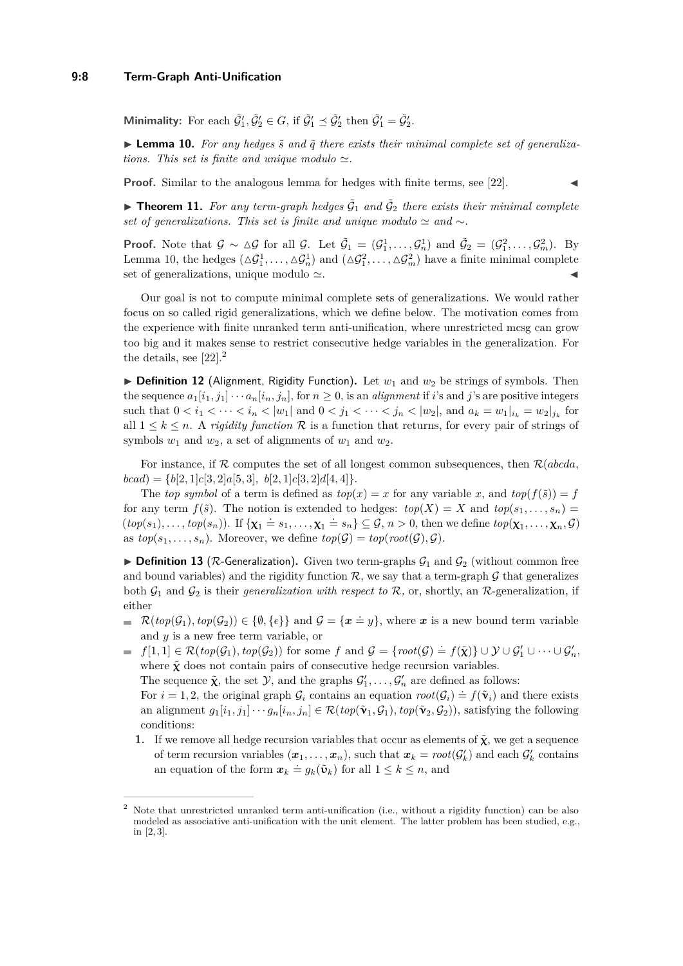### **9:8 Term-Graph Anti-Unification**

**Minimality:** For each  $\tilde{\mathcal{G}}'_1$ ,  $\tilde{\mathcal{G}}'_2 \in G$ , if  $\tilde{\mathcal{G}}'_1 \preceq \tilde{\mathcal{G}}'_2$  then  $\tilde{\mathcal{G}}'_1 = \tilde{\mathcal{G}}'_2$ .

<span id="page-7-0"></span> $\blacktriangleright$  **Lemma 10.** For any hedges  $\tilde{s}$  and  $\tilde{q}$  there exists their minimal complete set of generaliza*tions. This set is finite and unique modulo*  $\simeq$ .

**Proof.** Similar to the analogous lemma for hedges with finite terms, see [\[22\]](#page-15-4).

**Theorem 11.** For any term-graph hedges  $\tilde{G}_1$  and  $\tilde{G}_2$  there exists their minimal complete *set of generalizations. This set is finite and unique modulo*  $\simeq$  *and* ∼*.* 

**Proof.** Note that  $\mathcal{G} \sim \Delta \mathcal{G}$  for all  $\mathcal{G}$ . Let  $\tilde{\mathcal{G}}_1 = (\mathcal{G}_1^1, \ldots, \mathcal{G}_n^1)$  and  $\tilde{\mathcal{G}}_2 = (\mathcal{G}_1^2, \ldots, \mathcal{G}_m^2)$ . By Lemma [10,](#page-7-0) the hedges  $(\Delta \mathcal{G}_1^1, \ldots, \Delta \mathcal{G}_n^1)$  and  $(\Delta \mathcal{G}_1^2, \ldots, \Delta \mathcal{G}_m^2)$  have a finite minimal complete set of generalizations, unique modulo  $\simeq$ .

Our goal is not to compute minimal complete sets of generalizations. We would rather focus on so called rigid generalizations, which we define below. The motivation comes from the experience with finite unranked term anti-unification, where unrestricted mcsg can grow too big and it makes sense to restrict consecutive hedge variables in the generalization. For the details, see [\[22\]](#page-15-4).[2](#page-7-1)

 $\triangleright$  **Definition 12** (Alignment, Rigidity Function). Let  $w_1$  and  $w_2$  be strings of symbols. Then the sequence  $a_1[i_1, j_1] \cdots a_n[i_n, j_n]$ , for  $n \geq 0$ , is an *alignment* if *i*'s and *j*'s are positive integers such that  $0 < i_1 < \cdots < i_n < |w_1|$  and  $0 < j_1 < \cdots < j_n < |w_2|$ , and  $a_k = w_1|_{i_k} = w_2|_{j_k}$  for all  $1 \leq k \leq n$ . A *rigidity function* R is a function that returns, for every pair of strings of symbols  $w_1$  and  $w_2$ , a set of alignments of  $w_1$  and  $w_2$ .

For instance, if R computes the set of all longest common subsequences, then R(*abcda,*  $bcad) = \{b[2, 1]c[3, 2]a[5, 3], b[2, 1]c[3, 2]d[4, 4]\}.$ 

The *top symbol* of a term is defined as  $top(x) = x$  for any variable *x*, and  $top(f(\tilde{s})) = f$ for any term  $f(\tilde{s})$ . The notion is extended to hedges:  $top(X) = X$  and  $top(s_1, \ldots, s_n) =$  $(top(s_1),...,top(s_n))$ . If  $\{\mathbf{x}_1 = s_1,...,\mathbf{x}_1 = s_n\} \subseteq G, n > 0$ , then we define  $top(\mathbf{x}_1,...,\mathbf{x}_n, G)$ as  $top(s_1, \ldots, s_n)$ . Moreover, we define  $top(\mathcal{G}) = top(root(\mathcal{G}), \mathcal{G})$ .

<span id="page-7-2"></span>**Definition 13** ( $\mathcal{R}$ -Generalization). Given two term-graphs  $\mathcal{G}_1$  and  $\mathcal{G}_2$  (without common free and bound variables) and the rigidity function  $\mathcal{R}$ , we say that a term-graph  $\mathcal G$  that generalizes both  $\mathcal{G}_1$  and  $\mathcal{G}_2$  is their *generalization with respect to*  $\mathcal{R}$ , or, shortly, an  $\mathcal{R}$ -generalization, if either

- $\mathcal{R}(top(\mathcal{G}_1), top(\mathcal{G}_2)) \in \{\emptyset, \{\epsilon\}\}\$ and  $\mathcal{G} = \{\mathbf{x} \doteq y\}$ , where  $\mathbf{x}$  is a new bound term variable and *y* is a new free term variable, or
- $f[1,1] \in \mathcal{R}(\textit{top}(\mathcal{G}_1),\textit{top}(\mathcal{G}_2))$  for some *f* and  $\mathcal{G} = \{\textit{root}(\mathcal{G}) \doteq f(\tilde{\boldsymbol{\chi}})\} \cup \mathcal{Y} \cup \mathcal{G}_1' \cup \cdots \cup \mathcal{G}_n',\$ where  $\tilde{\chi}$  does not contain pairs of consecutive hedge recursion variables.

The sequence  $\tilde{\chi}$ , the set  $\mathcal{Y}$ , and the graphs  $\mathcal{G}'_1, \ldots, \mathcal{G}'_n$  are defined as follows:

For  $i = 1, 2$ , the original graph  $\mathcal{G}_i$  contains an equation  $root(\mathcal{G}_i) = f(\tilde{\mathbf{v}}_i)$  and there exists an alignment  $g_1[i_1, j_1] \cdots g_n[i_n, j_n] \in \mathcal{R}(top(\tilde{\mathbf{v}}_1, \mathcal{G}_1), top(\tilde{\mathbf{v}}_2, \mathcal{G}_2))$ , satisfying the following conditions:

**1.** If we remove all hedge recursion variables that occur as elements of  $\tilde{\chi}$ , we get a sequence of term recursion variables  $(x_1, \ldots, x_n)$ , such that  $x_k = root(G_k)$  and each  $G_k'$  contains an equation of the form  $x_k \doteq g_k(\tilde{\mathbf{u}}_k)$  for all  $1 \leq k \leq n$ , and

<span id="page-7-1"></span><sup>2</sup> Note that unrestricted unranked term anti-unification (i.e., without a rigidity function) can be also modeled as associative anti-unification with the unit element. The latter problem has been studied, e.g., in [\[2,](#page-14-4) [3\]](#page-14-10).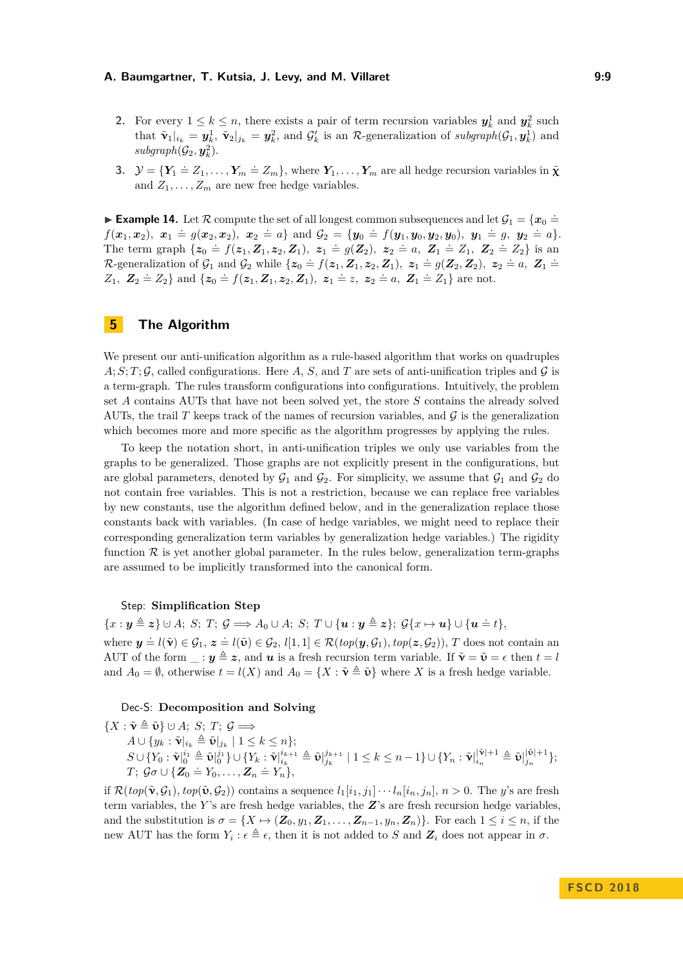- <span id="page-8-1"></span>**2.** For every  $1 \leq k \leq n$ , there exists a pair of term recursion variables  $y_k^1$  and  $y_k^2$  such that  $\tilde{\mathbf{v}}_1|_{i_k} = \mathbf{y}_k^1$ ,  $\tilde{\mathbf{v}}_2|_{j_k} = \mathbf{y}_k^2$ , and  $\mathcal{G}'_k$  is an R-generalization of *subgraph*( $\mathcal{G}_1, \mathbf{y}_k^1$ ) and  $subgraph(\mathcal{G}_2, \mathbf{y}_k^2)$ .
- **3.**  $\mathcal{Y} = {\mathbf{Y}_1 \doteq Z_1, \ldots, Y_m \doteq Z_m}$ , where  $\mathbf{Y}_1, \ldots, \mathbf{Y}_m$  are all hedge recursion variables in  $\tilde{\mathbf{X}}$ and  $Z_1, \ldots, Z_m$  are new free hedge variables.

**Example 14.** Let  $\mathcal{R}$  compute the set of all longest common subsequences and let  $\mathcal{G}_1 = \{x_0 = 0\}$  $f(x_1, x_2), x_1 = g(x_2, x_2), x_2 = a$  and  $G_2 = \{y_0 = f(y_1, y_0, y_2, y_0), y_1 = g, y_2 = a\}.$ The term graph  $\{z_0 = f(z_1, Z_1, z_2, Z_1), z_1 = g(Z_2), z_2 = a, Z_1 = Z_1, Z_2 = Z_2\}$  is an The central graph (x0 ) (x1, z1, x2, z1), x1  $g(2z)$ , x2 a),  $z_1 = 1$   $z_1$ ,  $z_2 = 2z_1$  as an<br>
R-generalization of  $G_1$  and  $G_2$  while  $\{z_0 = f(z_1, Z_1, z_2, Z_1), z_1 = g(Z_2, Z_2), z_2 = a, Z_1 = a\}$  $Z_1$ ,  $Z_2 = Z_2$ } and  $\{z_0 = f(z_1, Z_1, z_2, Z_1), z_1 = z, z_2 = a, Z_1 = Z_1\}$  are not.

# <span id="page-8-0"></span>**5 The Algorithm**

We present our anti-unification algorithm as a rule-based algorithm that works on quadruples  $A; S; T; \mathcal{G}$ , called configurations. Here A, S, and T are sets of anti-unification triples and  $\mathcal{G}$  is a term-graph. The rules transform configurations into configurations. Intuitively, the problem set *A* contains AUTs that have not been solved yet, the store *S* contains the already solved AUTs, the trail *T* keeps track of the names of recursion variables, and  $\mathcal G$  is the generalization which becomes more and more specific as the algorithm progresses by applying the rules.

To keep the notation short, in anti-unification triples we only use variables from the graphs to be generalized. Those graphs are not explicitly present in the configurations, but are global parameters, denoted by  $\mathcal{G}_1$  and  $\mathcal{G}_2$ . For simplicity, we assume that  $\mathcal{G}_1$  and  $\mathcal{G}_2$  do not contain free variables. This is not a restriction, because we can replace free variables by new constants, use the algorithm defined below, and in the generalization replace those constants back with variables. (In case of hedge variables, we might need to replace their corresponding generalization term variables by generalization hedge variables.) The rigidity function  $\mathcal R$  is yet another global parameter. In the rules below, generalization term-graphs are assumed to be implicitly transformed into the canonical form.

### Step: **Simplification Step**

 ${x : y \triangleq z}$   $\cup$  *A*; *S*; *T*;  $\mathcal{G} \Longrightarrow A_0 \cup A$ ; *S*; *T*  $\cup$   ${u : y \triangleq z}$ ;  $\mathcal{G}{x \mapsto u}$   $\cup$   ${u \triangleq t}$ , where  $y = l(\tilde{v}) \in \mathcal{G}_1$ ,  $z = l(\tilde{v}) \in \mathcal{G}_2$ ,  $l[1,1] \in \mathcal{R}(top(y,\mathcal{G}_1), top(z,\mathcal{G}_2))$ , *T* does not contain an AUT of the form  $\therefore$  *y*  $\triangleq$  *z*, and *u* is a fresh recursion term variable. If  $\tilde{\mathbf{v}} = \tilde{\mathbf{v}} = \epsilon$  then  $t = l$ and  $A_0 = \emptyset$ , otherwise  $t = l(X)$  and  $A_0 = \{X : \tilde{\mathbf{v}} \triangleq \tilde{\mathbf{v}}\}$  where X is a fresh hedge variable.

### Dec-S: **Decomposition and Solving**

 ${X : \tilde{\mathbf{v}} \triangleq \tilde{\mathbf{v}}}$   $\cup$  *A*: *S*: *T*:  $G \implies$  $A \cup \{y_k : \tilde{\mathbf{v}}|_{i_k} \triangleq \tilde{\mathbf{v}}|_{j_k} \mid 1 \leq k \leq n\};$  $S\cup\{Y_0:\tilde{\mathbf{v}}|_0^{i_1}\triangleq\tilde{\mathbf{v}}|_0^{j_1}\}\cup\{Y_k:\tilde{\mathbf{v}}|_{i_k}^{i_{k+1}}\triangleq\tilde{\mathbf{v}}|_{j_k}^{j_{k+1}}$  $j_k^{j_{k+1}} \mid 1 \leq k \leq n-1 \} \cup \{ Y_n : \tilde{\mathbf{v}}|_{i_n}^{|\tilde{\mathbf{v}}|+1} \triangleq \tilde{\mathbf{v}}|_{j_n}^{|\tilde{\mathbf{v}}|+1}$  $\{y_{n+1}\}\frac{1}{2n}$  $T$ ;  $G \sigma \cup \{ \mathbf{Z}_0 = Y_0, \ldots, \mathbf{Z}_n = Y_n \},$ 

if  $\mathcal{R}(top(\tilde{\mathbf{v}}, \mathcal{G}_1), top(\tilde{\mathbf{v}}, \mathcal{G}_2))$  contains a sequence  $l_1[i_1, j_1] \cdots l_n[i_n, j_n], n > 0$ . The *y*'s are fresh term variables, the *Y* 's are fresh hedge variables, the *Z*'s are fresh recursion hedge variables, and the substitution is  $\sigma = \{X \mapsto (\mathbf{Z}_0, y_1, \mathbf{Z}_1, \dots, \mathbf{Z}_{n-1}, y_n, \mathbf{Z}_n)\}\)$ . For each  $1 \leq i \leq n$ , if the new AUT has the form  $Y_i : \epsilon \triangleq \epsilon$ , then it is not added to *S* and  $\mathbf{Z}_i$  does not appear in  $\sigma$ .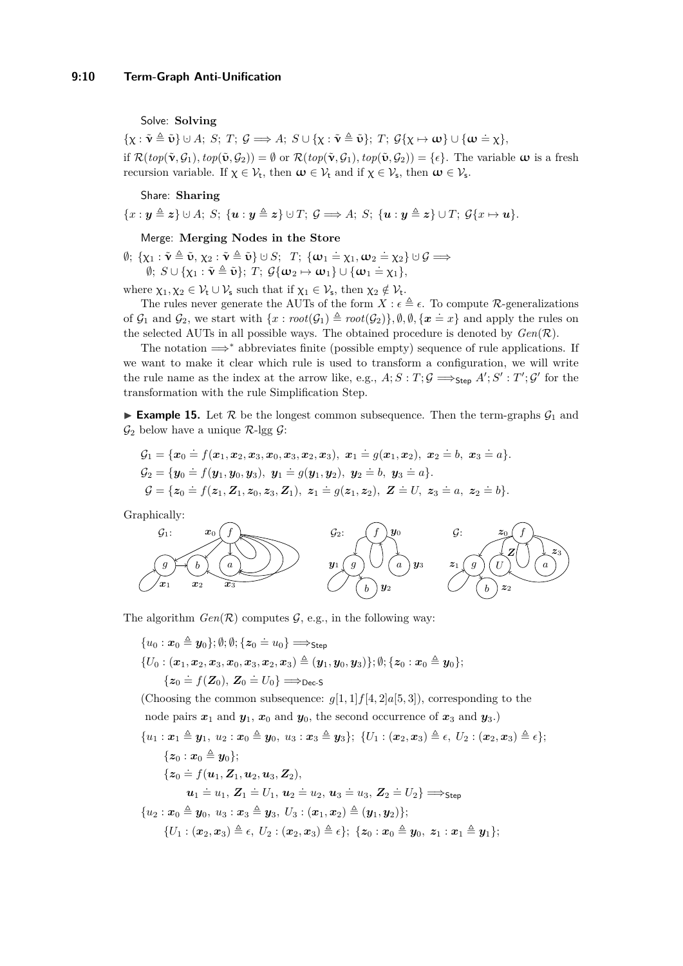### Solve: **Solving**

 $\{\chi : \tilde{\mathbf{v}} \triangleq \tilde{\mathbf{v}}\} \cup A; \ S; \ T; \ \mathcal{G} \Longrightarrow A; \ S \cup \{\chi : \tilde{\mathbf{v}} \triangleq \tilde{\mathbf{v}}\}; \ T; \ \mathcal{G}\{\chi \mapsto \mathbf{\omega}\} \cup \{\mathbf{\omega} \doteq \chi\},\$ if  $\mathcal{R}(top(\tilde{\mathbf{v}}, \mathcal{G}_1), top(\tilde{\mathbf{v}}, \mathcal{G}_2)) = \emptyset$  or  $\mathcal{R}(top(\tilde{\mathbf{v}}, \mathcal{G}_1), top(\tilde{\mathbf{v}}, \mathcal{G}_2)) = \{\epsilon\}$ . The variable  $\boldsymbol{\omega}$  is a fresh recursion variable. If  $\chi \in \mathcal{V}_t$ , then  $\omega \in \mathcal{V}_t$  and if  $\chi \in \mathcal{V}_s$ , then  $\omega \in \mathcal{V}_s$ .

### Share: **Sharing**

 ${x : y \triangleq z} \cup A$ ; *S*;  ${u : y \triangleq z} \cup T$ ;  $G \implies A$ ; *S*;  ${u : y \triangleq z} \cup T$ ;  $G{x \mapsto u}$ *).* 

### Merge: **Merging Nodes in the Store**

 $\emptyset; \ \{\chi_1 : \tilde{\mathbf{v}} \triangleq \tilde{\mathbf{v}}, \ \chi_2 : \tilde{\mathbf{v}} \triangleq \tilde{\mathbf{v}}\} \cup S; \ \ T; \ \{\boldsymbol{\omega}_1 = \chi_1, \boldsymbol{\omega}_2 = \chi_2\} \cup \mathcal{G} \Longrightarrow$  $\emptyset$ ;  $S \cup \{\chi_1 : \tilde{\mathbf{v}} \triangleq \tilde{\mathbf{v}}\}$ ; *T*;  $\mathcal{G}\{\boldsymbol{\omega}_2 \mapsto \boldsymbol{\omega}_1\} \cup \{\boldsymbol{\omega}_1 \doteq \chi_1\}$ ,

where  $\chi_1, \chi_2 \in \mathcal{V}_t \cup \mathcal{V}_s$  such that if  $\chi_1 \in \mathcal{V}_s$ , then  $\chi_2 \notin \mathcal{V}_t$ .

The rules never generate the AUTs of the form  $X : \epsilon \triangleq \epsilon$ . To compute R-generalizations of  $\mathcal{G}_1$  and  $\mathcal{G}_2$ , we start with  $\{x : root(\mathcal{G}_1) \triangleq root(\mathcal{G}_2)\}, \emptyset, \emptyset, \{x = x\}$  and apply the rules on the selected AUTs in all possible ways. The obtained procedure is denoted by  $Gen(R)$ .

The notation  $\implies^*$  abbreviates finite (possible empty) sequence of rule applications. If we want to make it clear which rule is used to transform a configuration, we will write the rule name as the index at the arrow like, e.g.,  $A; S: T; \mathcal{G} \Longrightarrow_{\mathsf{Step}} A'; S': T'; \mathcal{G}'$  for the transformation with the rule Simplification Step.

**Example 15.** Let  $\mathcal{R}$  be the longest common subsequence. Then the term-graphs  $\mathcal{G}_1$  and  $\mathcal{G}_2$  below have a unique  $\mathcal{R}$ -lgg  $\mathcal{G}$ :

$$
G_1 = \{x_0 = f(x_1, x_2, x_3, x_0, x_3, x_2, x_3), x_1 = g(x_1, x_2), x_2 = b, x_3 = a\}.
$$
  
\n
$$
G_2 = \{y_0 = f(y_1, y_0, y_3), y_1 = g(y_1, y_2), y_2 = b, y_3 = a\}.
$$
  
\n
$$
G = \{z_0 = f(z_1, Z_1, z_0, z_3, Z_1), z_1 = g(z_1, z_2), Z = U, z_3 = a, z_2 = b\}.
$$

Graphically:



The algorithm  $Gen(R)$  computes  $G$ , e.g., in the following way:

 $\{u_0: \bm{x}_0 \triangleq \bm{y}_0\}; \emptyset; \emptyset; \{ \bm{z}_0 \stackrel{.}{=} u_0\} \Longrightarrow_{\mathsf{Step}}$  $\{U_0 : (\boldsymbol{x}_1, \boldsymbol{x}_2, \boldsymbol{x}_3, \boldsymbol{x}_0, \boldsymbol{x}_3, \boldsymbol{x}_2, \boldsymbol{x}_3) \triangleq (\boldsymbol{y}_1, \boldsymbol{y}_0, \boldsymbol{y}_3)\}; \emptyset; \{\boldsymbol{z}_0 : \boldsymbol{x}_0 \triangleq \boldsymbol{y}_0\};$  $\{z_0 = f(Z_0), Z_0 = U_0\} \Longrightarrow_{\text{Dec-S}}$ 

(Choosing the common subsequence:  $q[1, 1]f[4, 2]a[5, 3]$ ), corresponding to the node pairs  $x_1$  and  $y_1$ ,  $x_0$  and  $y_0$ , the second occurrence of  $x_3$  and  $y_3$ .)

$$
\{u_1: \pmb{x}_1 \triangleq \pmb{y}_1, u_2: \pmb{x}_0 \triangleq \pmb{y}_0, u_3: \pmb{x}_3 \triangleq \pmb{y}_3\}; \ \{U_1: (\pmb{x}_2, \pmb{x}_3) \triangleq \epsilon, \ U_2: (\pmb{x}_2, \pmb{x}_3) \triangleq \epsilon\};
$$
\n
$$
\{\pmb{z}_0: \pmb{x}_0 \triangleq \pmb{y}_0\};
$$
\n
$$
\{\pmb{z}_0 \doteq f(\pmb{u}_1, \pmb{Z}_1, \pmb{u}_2, \pmb{u}_3, \pmb{Z}_2),
$$
\n
$$
\pmb{u}_1 \doteq u_1, \pmb{Z}_1 \doteq U_1, \pmb{u}_2 \doteq u_2, \pmb{u}_3 \doteq u_3, \pmb{Z}_2 \doteq U_2\} \Longrightarrow_{\textsf{Step}}
$$
\n
$$
\{u_2: \pmb{x}_0 \triangleq \pmb{y}_0, u_3: \pmb{x}_3 \triangleq \pmb{y}_3, \ U_3: (\pmb{x}_1, \pmb{x}_2) \triangleq (\pmb{y}_1, \pmb{y}_2)\};
$$
\n
$$
\{U_1: (\pmb{x}_2, \pmb{x}_3) \triangleq \epsilon, \ U_2: (\pmb{x}_2, \pmb{x}_3) \triangleq \epsilon\}; \ \{\pmb{z}_0: \pmb{x}_0 \triangleq \pmb{y}_0, \ \pmb{z}_1: \pmb{x}_1 \triangleq \pmb{y}_1\};
$$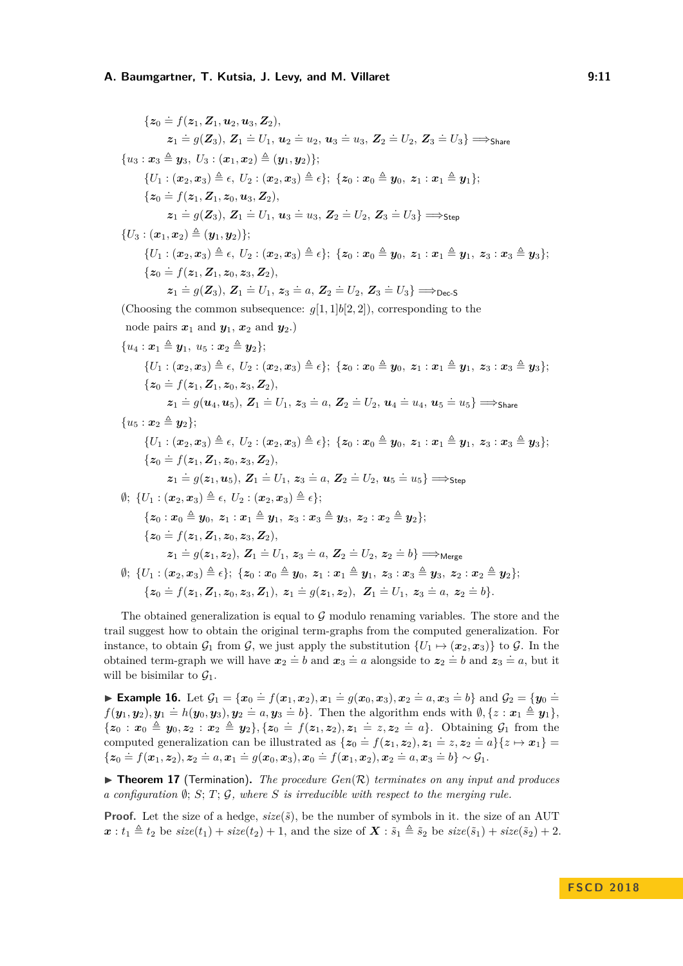${z_0 \doteq f(z_1, Z_1, u_2, u_3, Z_2)},$  ${\bm z}_1 \stackrel{.}{=} g({\bm Z}_3), \, {\bm Z}_1 \stackrel{.}{=} U_1, \, {\bm u}_2 \stackrel{.}{=} u_2, \, {\bm u}_3 \stackrel{.}{=} u_3, \, {\bm Z}_2 \stackrel{.}{=} U_2, \, {\bm Z}_3 \stackrel{.}{=} U_3 \} \Longrightarrow_{\mathsf{Share}}$  ${u_3 : x_3 \triangleq u_3, U_3 : (x_1, x_2) \triangleq (u_1, u_2)}$ ;  ${U_1 : (\boldsymbol{x}_2, \boldsymbol{x}_3) \triangleq \epsilon, \ U_2 : (\boldsymbol{x}_2, \boldsymbol{x}_3) \triangleq \epsilon}; \ \{z_0 : \boldsymbol{x}_0 \triangleq \boldsymbol{y}_0, \ z_1 : \boldsymbol{x}_1 \triangleq \boldsymbol{y}_1\};$  ${z_0 \doteq f(z_1, Z_1, z_0, u_3, Z_2)},$  $\mathbf{z}_1 = g(\mathbf{Z}_3), \, \mathbf{Z}_1 = U_1, \, \mathbf{u}_3 = u_3, \, \mathbf{Z}_2 = U_2, \, \mathbf{Z}_3 = U_3 \} \Longrightarrow_{\mathsf{Step}}$  ${U_3 : (\boldsymbol{x}_1, \boldsymbol{x}_2) \triangleq (\boldsymbol{y}_1, \boldsymbol{y}_2)}$ ;  $\{U_1 : (\mathbf{x}_2, \mathbf{x}_3) \triangleq \epsilon, \ U_2 : (\mathbf{x}_2, \mathbf{x}_3) \triangleq \epsilon\}; \ \{z_0 : \mathbf{x}_0 \triangleq \mathbf{y}_0, \ z_1 : \mathbf{x}_1 \triangleq \mathbf{y}_1, \ z_3 : \mathbf{x}_3 \triangleq \mathbf{y}_3\};$  ${z_0 \doteq f(z_1, Z_1, z_0, z_3, Z_2)},$  $z_1 = g(Z_3), Z_1 = U_1, z_3 = a, Z_2 = U_2, Z_3 = U_3$  =  $v_{\text{Dec-S}}$ (Choosing the common subsequence:  $q[1, 1]b[2, 2]$ ), corresponding to the node pairs  $x_1$  and  $y_1$ ,  $x_2$  and  $y_2$ .)  ${u_4 : \mathbf{x}_1 \triangleq \mathbf{y}_1, u_5 : \mathbf{x}_2 \triangleq \mathbf{y}_2};$  $\{U_1: (\mathbf{x}_2, \mathbf{x}_3) \triangleq \epsilon, \ U_2: (\mathbf{x}_2, \mathbf{x}_3) \triangleq \epsilon\}; \ \{z_0: \mathbf{x}_0 \triangleq \mathbf{y}_0, \ z_1: \mathbf{x}_1 \triangleq \mathbf{y}_1, \ z_3: \mathbf{x}_3 \triangleq \mathbf{y}_3\};$  ${z_0 \doteq f(z_1, Z_1, z_0, z_3, Z_2)},$  $\boldsymbol{z}_1 = g(\boldsymbol{u}_4,\boldsymbol{u}_5),\, \boldsymbol{Z}_1 = U_1,\, \boldsymbol{z}_3 = a,\, \boldsymbol{Z}_2 = U_2,\, \boldsymbol{u}_4 = u_4,\, \boldsymbol{u}_5 = u_5 \} \Longrightarrow_{\mathsf{Share}}$  ${u_5 : x_2 \triangleq u_2}$ :  $\{U_1 : (\mathbf{x}_2, \mathbf{x}_3) \triangleq \epsilon, \ U_2 : (\mathbf{x}_2, \mathbf{x}_3) \triangleq \epsilon\}; \ \{z_0 : \mathbf{x}_0 \triangleq \mathbf{y}_0, \ z_1 : \mathbf{x}_1 \triangleq \mathbf{y}_1, \ z_3 : \mathbf{x}_3 \triangleq \mathbf{y}_3\};$  ${z_0 \doteq f(z_1, Z_1, z_0, z_3, Z_2)},$  $z_1 \doteq g(z_1, u_5), Z_1 \doteq U_1, z_3 \doteq a, Z_2 \doteq U_2, u_5 \doteq u_5 \} \Longrightarrow_{\text{Step}}$  $\emptyset$ ;  $\{U_1 : (\boldsymbol{x}_2, \boldsymbol{x}_3) \triangleq \epsilon, U_2 : (\boldsymbol{x}_2, \boldsymbol{x}_3) \triangleq \epsilon\};$  ${z_0 : x_0 \triangleq y_0, z_1 : x_1 \triangleq y_1, z_3 : x_3 \triangleq y_3, z_2 : x_2 \triangleq y_2};$  ${z_0 \doteq f(z_1, Z_1, z_0, z_3, Z_2)},$  $z_1 = g(z_1, z_2), Z_1 = U_1, z_3 = a, Z_2 = U_2, z_2 = b$  =  $\Rightarrow$  Merge  $\emptyset$ ;  $\{U_1 : (\pmb{x}_2, \pmb{x}_3) \triangleq \epsilon\}$ ;  $\{z_0 : \pmb{x}_0 \triangleq \pmb{y}_0, \ z_1 : \pmb{x}_1 \triangleq \pmb{y}_1, \ z_3 : \pmb{x}_3 \triangleq \pmb{y}_3, \ z_2 : \pmb{x}_2 \triangleq \pmb{y}_2\}$ ;  ${z_0 \doteq f(z_1, Z_1, z_0, z_3, Z_1), z_1 \doteq g(z_1, z_2), Z_1 \doteq U_1, z_3 \doteq a, z_2 \doteq b}.$ 

The obtained generalization is equal to  $G$  modulo renaming variables. The store and the trail suggest how to obtain the original term-graphs from the computed generalization. For instance, to obtain  $\mathcal{G}_1$  from  $\mathcal{G}$ , we just apply the substitution  $\{U_1 \mapsto (\mathbf{x}_2, \mathbf{x}_3)\}\)$  to  $\mathcal{G}$ . In the obtained term-graph we will have  $x_2 = b$  and  $x_3 = a$  alongside to  $z_2 = b$  and  $z_3 = a$ , but it will be bisimilar to  $\mathcal{G}_1$ .

► Example 16. Let  $\mathcal{G}_1 = \{x_0 = f(x_1, x_2), x_1 = g(x_0, x_3), x_2 = a, x_3 = b\}$  and  $\mathcal{G}_2 = \{y_0 = a_1, y_1 = b_2, y_2 = b_3\}$  $f(\mathbf{y}_1, \mathbf{y}_2), \mathbf{y}_1 \doteq h(\mathbf{y}_0, \mathbf{y}_3), \mathbf{y}_2 \doteq a, \mathbf{y}_3 \doteq b$ . Then the algorithm ends with  $\emptyset, \{z : \mathbf{x}_1 \triangleq \mathbf{y}_1\},$  $\{z_0: x_0 \triangleq y_0, z_2: x_2 \triangleq y_2\}, \{z_0 = f(z_1, z_2), z_1 = z, z_2 = a\}.$  Obtaining  $\mathcal{G}_1$  from the computed generalization can be illustrated as  $\{z_0 = f(z_1, z_2), z_1 = z, z_2 = a\} \{z \mapsto x_1\}$  ${z_0 \doteq f(x_1, z_2), z_2 \doteq a, x_1 \doteq g(x_0, x_3), x_0 \doteq f(x_1, x_2), x_2 \doteq a, x_3 \doteq b} \sim \mathcal{G}_1.$ 

<span id="page-10-0"></span> $\triangleright$  **Theorem 17** (Termination). The procedure  $Gen(R)$  terminates on any input and produces *a configuration* ∅; *S*; *T*; G*, where S is irreducible with respect to the merging rule.*

**Proof.** Let the size of a hedge,  $size(\tilde{s})$ , be the number of symbols in it. the size of an AUT  $x: t_1 \triangleq t_2$  be  $size(t_1) + size(t_2) + 1$ , and the size of  $\boldsymbol{X}: \tilde{s}_1 \triangleq \tilde{s}_2$  be  $size(\tilde{s}_1) + size(\tilde{s}_2) + 2$ .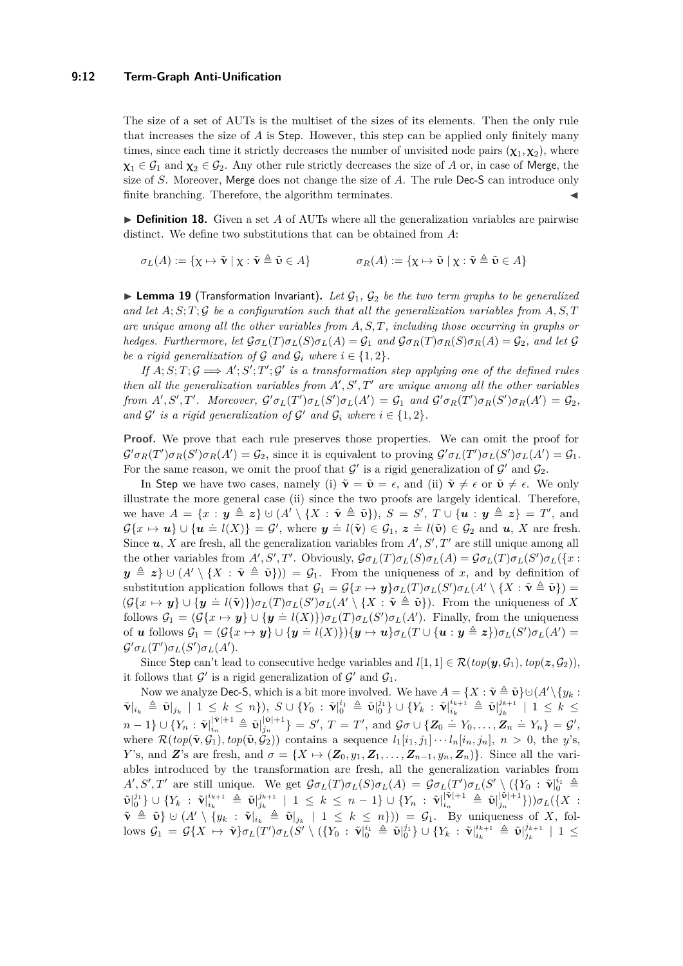### **9:12 Term-Graph Anti-Unification**

The size of a set of AUTs is the multiset of the sizes of its elements. Then the only rule that increases the size of *A* is Step. However, this step can be applied only finitely many times, since each time it strictly decreases the number of unvisited node pairs  $(\chi_1, \chi_2)$ , where  $\chi_1 \in \mathcal{G}_1$  and  $\chi_2 \in \mathcal{G}_2$ . Any other rule strictly decreases the size of *A* or, in case of Merge, the size of *S*. Moreover, Merge does not change the size of *A*. The rule Dec-S can introduce only finite branching. Therefore, the algorithm terminates.

 $\triangleright$  **Definition 18.** Given a set *A* of AUTs where all the generalization variables are pairwise distinct. We define two substitutions that can be obtained from *A*:

$$
\sigma_L(A) := \{ \chi \mapsto \tilde{\mathbf{v}} \mid \chi : \tilde{\mathbf{v}} \triangleq \tilde{\mathbf{v}} \in A \} \qquad \sigma_R(A) := \{ \chi \mapsto \tilde{\mathbf{v}} \mid \chi : \tilde{\mathbf{v}} \triangleq \tilde{\mathbf{v}} \in A \}
$$

<span id="page-11-0"></span>**Lemma 19** (Transformation Invariant). Let  $\mathcal{G}_1$ ,  $\mathcal{G}_2$  be the two term graphs to be generalized and let  $A; S; T; G$  be a configuration such that all the generalization variables from  $A, S, T$ *are unique among all the other variables from A, S, T, including those occurring in graphs or* hedges. Furthermore, let  $\mathcal{G}\sigma_L(T)\sigma_L(S)\sigma_L(A) = \mathcal{G}_1$  and  $\mathcal{G}\sigma_R(T)\sigma_R(S)\sigma_R(A) = \mathcal{G}_2$ , and let  $\mathcal G$ *be a rigid generalization of*  $G$  *and*  $G_i$  *where*  $i \in \{1, 2\}$ *.* 

*If*  $A; S; T; G \implies A'; S'; T'; G'$  is a transformation step applying one of the defined rules *then all the generalization variables from*  $A', S', T'$  *are unique among all the other variables* from  $A', S', T'$ . Moreover,  $\mathcal{G}'\sigma_L(T')\sigma_L(S')\sigma_L(A') = \mathcal{G}_1$  and  $\mathcal{G}'\sigma_R(T')\sigma_R(S')\sigma_R(A') = \mathcal{G}_2$ , *and*  $\mathcal{G}'$  *is a rigid generalization of*  $\mathcal{G}'$  *and*  $\mathcal{G}_i$  *where*  $i \in \{1, 2\}$ *.* 

**Proof.** We prove that each rule preserves those properties. We can omit the proof for  $\mathcal{G}'\sigma_R(T')\sigma_R(S')\sigma_R(A')=\mathcal{G}_2$ , since it is equivalent to proving  $\mathcal{G}'\sigma_L(T')\sigma_L(S')\sigma_L(A')=\mathcal{G}_1$ . For the same reason, we omit the proof that  $\mathcal{G}'$  is a rigid generalization of  $\mathcal{G}'$  and  $\mathcal{G}_2$ .

In Step we have two cases, namely (i)  $\tilde{\mathbf{v}} = \tilde{\mathbf{v}} = \epsilon$ , and (ii)  $\tilde{\mathbf{v}} \neq \epsilon$  or  $\tilde{\mathbf{v}} \neq \epsilon$ . We only illustrate the more general case (ii) since the two proofs are largely identical. Therefore, we have  $A = \{x : y \triangleq z\} \cup (A' \setminus \{X : \tilde{\mathbf{v}} \triangleq \tilde{\mathbf{v}}\}), S = S', T \cup \{\mathbf{u} : y \triangleq z\} = T'$ , and  $G\{x \mapsto u\} \cup \{u = l(X)\} = G'$ , where  $y \doteq l(\tilde{v}) \in \mathcal{G}_1$ ,  $z \doteq l(\tilde{v}) \in \mathcal{G}_2$  and *u*, *X* are fresh. Since  $u, X$  are fresh, all the generalization variables from  $A', S', T'$  are still unique among all the other variables from  $A', S', T'$ . Obviously,  $\mathcal{G}\sigma_L(T)\sigma_L(S)\sigma_L(A) = \mathcal{G}\sigma_L(T)\sigma_L(S')\sigma_L(\{x :$  $y \triangleq z$   $\cup$   $(A' \setminus \{X : \tilde{v} \triangleq \tilde{v}\}) = \mathcal{G}_1$ . From the uniqueness of *x*, and by definition of substitution application follows that  $\mathcal{G}_1 = \mathcal{G}\{x \mapsto y\} \sigma_L(T) \sigma_L(S') \sigma_L(A' \setminus \{X : \tilde{\mathbf{v}} \triangleq \tilde{\mathbf{v}}\}) =$  $(\mathcal{G}\{x \mapsto y\} \cup \{y \doteq l(\tilde{\mathbf{v}})\}\sigma_L(T)\sigma_L(S')\sigma_L(A' \setminus \{X : \tilde{\mathbf{v}} \triangleq \tilde{\mathbf{v}}\})$ . From the uniqueness of *X* follows  $G_1 = (G\{x \mapsto y\} \cup \{y = l(X)\}) \sigma_L(T) \sigma_L(S') \sigma_L(A')$ . Finally, from the uniqueness of u follows  $G_1 = (G\{x \mapsto y\} \cup \{y = l(X)\})\{y \mapsto u\}\sigma_L(T \cup \{u : y \triangleq z\})\sigma_L(S')\sigma_L(A') =$  $\mathcal{G}'\sigma_L(T')\sigma_L(S')\sigma_L(A').$ 

Since Step can't lead to consecutive hedge variables and  $l[1, 1] \in \mathcal{R}(top(\mathbf{y}, \mathcal{G}_1), top(\mathbf{z}, \mathcal{G}_2))$ , it follows that  $\mathcal{G}'$  is a rigid generalization of  $\mathcal{G}'$  and  $\mathcal{G}_1$ .

Now we analyze Dec-S, which is a bit more involved. We have  $A = \{X : \tilde{\mathbf{v}} \triangleq \tilde{\mathbf{v}}\} \cup (A' \setminus \{y_k : X \in \tilde{\mathbf{v}}\})$  $\tilde{\mathbf{v}}|_{i_k} \triangleq \tilde{\mathbf{v}}|_{j_k} \, \mid \, 1 \, \leq \, k \, \leq \, n \}, \; S \cup \{ Y_0 \, : \, \tilde{\mathbf{v}}|_0^{i_1} \triangleq \tilde{\mathbf{v}}|_0^{j_1} \} \cup \{ Y_k \, : \, \tilde{\mathbf{v}}|_{i_k}^{i_{k+1}} \triangleq \tilde{\mathbf{v}}|_{j_k}^{j_{k+1}}$  $j_k^{j_{k+1}}$  | 1  $\leq k \leq$  $n-1\}\cup\{Y_n:\tilde{\mathbf{\nu}}|_{i_n}^{|\tilde{\mathbf{\nu}}|+1}\triangleq \tilde{\mathbf{\nu}}|_{j_n}^{|\tilde{\mathbf{\nu}}|+1}$  $\{ \begin{aligned} |\tilde{v}|+1 \\ j_n \end{aligned} \} = S', T = T', \text{ and } \mathcal{G}\sigma \cup \{ \mathbf{Z}_0 = Y_0, \ldots, \mathbf{Z}_n = Y_n \} = \mathcal{G}',$ where  $\mathcal{R}(top(\tilde{\mathbf{v}}, \mathcal{G}_1), top(\tilde{\mathbf{v}}, \mathcal{G}_2))$  contains a sequence  $l_1[i_1, j_1] \cdots l_n[i_n, j_n], n > 0$ , the *y*'s, *Y*'s, and *Z*'s are fresh, and  $\sigma = \{X \mapsto (\mathbf{Z}_0, y_1, \mathbf{Z}_1, \dots, \mathbf{Z}_{n-1}, y_n, \mathbf{Z}_n)\}$ . Since all the variables introduced by the transformation are fresh, all the generalization variables from  $A',S',T'$  are still unique. We get  $\mathcal{G}\sigma_L(T)\sigma_L(S)\sigma_L(A) = \mathcal{G}\sigma_L(T')\sigma_L(S')\ ({Y_0 : \tilde{\mathbf{v}}|_0^{i_1} \triangleq$  $\tilde{\mathbf{v}}|_{0}^{j_{1}}\}\cup\{Y_{k}\;:\;\tilde{\mathbf{v}}|_{i_{k}}^{i_{k+1}}\;\triangleq\;\tilde{\mathbf{v}}|_{j_{k}}^{j_{k+1}}$  $\int_{j_k}^{j_{k+1}} \ \mid \ 1 \ \leq \ k \ \leq \ n - 1 \} \cup \{ Y_n \ : \ \tilde{\mathbf{v}}|_{i_n}^{|\tilde{\mathbf{v}}|+1} \ \triangleq \ \tilde{\mathbf{v}}|_{j_n}^{|\tilde{\mathbf{v}}|+1}$ *j<sup>n</sup>* }))*σL*({*X* :  $\tilde{\mathbf{v}} \triangleq \tilde{\mathbf{v}} \cup (A' \setminus \{y_k : \tilde{\mathbf{v}}|_{i_k} \triangleq \tilde{\mathbf{v}}|_{j_k} \mid 1 \leq k \leq n\}) = \mathcal{G}_1$ . By uniqueness of *X*, fol- $\log S_1 = \mathcal{G}\{X \mapsto \tilde{\mathbf{v}}\}\sigma_L(T')\sigma_L(S' \setminus (\{Y_0 : \tilde{\mathbf{v}}|_0^{i_1} \triangleq \tilde{\mathbf{v}}|_0^{j_1}\} \cup \{Y_k : \tilde{\mathbf{v}}|_{i_k}^{i_{k+1}} \triangleq \tilde{\mathbf{v}}|_{j_k}^{j_{k+1}}\}$  $j_k^{j_{k+1}} \mid 1 \leq$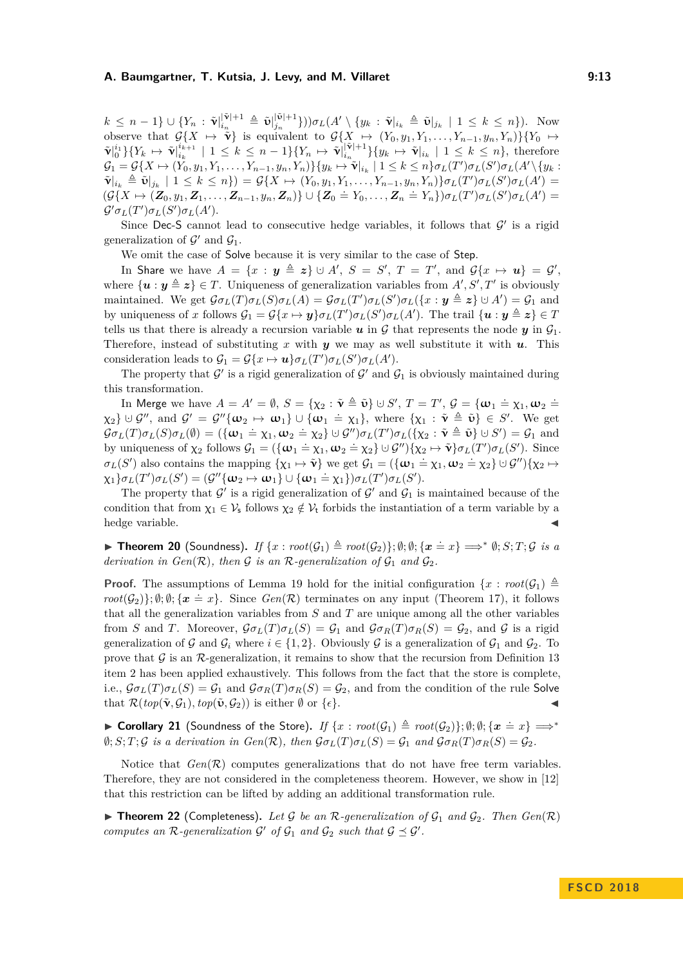$k \, \leq \, n-1 \} \cup \{ Y_{n} \, : \, {\tilde{\mathbf{\nu}}}|_{i_{n}}^{|{\tilde{\mathbf{\nu}}}|+1} \, \triangleq \, {\tilde{\mathbf{\nu}}}|_{j_{n}}^{|{\tilde{\mathbf{\nu}}}|+1}$  $\int_{j_n}^{|\tilde{\mathbf{v}}|+1}$ }))*σ*<sub>L</sub>(*A'* \ {*y<sub>k</sub>* :  $\tilde{\mathbf{v}}|_{i_k} \triangleq \tilde{\mathbf{v}}|_{j_k}$  | 1 ≤ *k* ≤ *n*}). Now observe that  $\mathcal{G}\{X \mapsto \tilde{\mathbf{v}}\}$  is equivalent to  $\mathcal{G}\{X \mapsto (Y_0, y_1, Y_1, \ldots, Y_{n-1}, y_n, Y_n)\}\{Y_0 \mapsto Y_0\}$  $\tilde{\mathbf{v}}|_0^{i_1} \} \{ Y_k \,\mapsto\, \tilde{\mathbf{v}}|_{i_k}^{i_{k+1}}$  $\hat{v}_{i_k+1}^{i_{k+1}} \mid 1 \leq k \leq n-1$  } { $Y_n \mapsto \tilde{\mathbf{v}}|_{i_n}^{|\tilde{\mathbf{v}}|+1}$  $\{y_k \mapsto \tilde{\mathbf{v}}|_{i_k} \mid 1 \leq k \leq n\}$ , therefore  $\mathcal{G}_1 = \mathcal{G}\{X \mapsto (Y_0, y_1, Y_1, \dots, Y_{n-1}, y_n, Y_n)\}\{y_k \mapsto \tilde{\mathbf{v}}|_{i_k} \mid 1 \leq k \leq n\}\sigma_L(T')\sigma_L(S')\sigma_L(A' \setminus \{y_k = 0\})$  $\tilde{\mathbf{v}}|_{i_k} \triangleq \tilde{\mathbf{v}}|_{j_k} | 1 \leq k \leq n \} = \mathcal{G}\{X \mapsto (Y_0, y_1, Y_1, \dots, Y_{n-1}, y_n, Y_n) \} \sigma_L(T') \sigma_L(S') \sigma_L(A') =$  $(\mathcal{G}\{X \mapsto (\mathbf{Z}_0, y_1, \mathbf{Z}_1, \dots, \mathbf{Z}_{n-1}, y_n, \mathbf{Z}_n)\} \cup \{\mathbf{Z}_0 \doteq Y_0, \dots, \mathbf{Z}_n \doteq Y_n\}) \sigma_L(T') \sigma_L(S') \sigma_L(A') =$  $\mathcal{G}'\sigma_L(T')\sigma_L(S')\sigma_L(A')$ .

Since Dec-S cannot lead to consecutive hedge variables, it follows that  $\mathcal{G}'$  is a rigid generalization of  $\mathcal{G}'$  and  $\mathcal{G}_1$ .

We omit the case of Solve because it is very similar to the case of Step.

In Share we have  $A = \{x : y \triangleq z\} \cup A', S = S', T = T', \text{ and } \mathcal{G}\{x \mapsto u\} = \mathcal{G}',$ where  $\{u : y \triangleq z\} \in T$ . Uniqueness of generalization variables from  $A', S', T'$  is obviously maintained. We get  $\mathcal{G}\sigma_L(T)\sigma_L(S)\sigma_L(A) = \mathcal{G}\sigma_L(T')\sigma_L(S')\sigma_L(\{x : y \triangleq z\} \cup A') = \mathcal{G}_1$  and by uniqueness of *x* follows  $\mathcal{G}_1 = \mathcal{G}\{x \mapsto y\} \sigma_L(T') \sigma_L(S') \sigma_L(A')$ . The trail  $\{u : y \triangleq z\} \in \mathcal{I}$ tells us that there is already a recursion variable  $u$  in  $\mathcal G$  that represents the node  $y$  in  $\mathcal G_1$ . Therefore, instead of substituting  $x$  with  $y$  we may as well substitute it with  $u$ . This consideration leads to  $\mathcal{G}_1 = \mathcal{G}\{x \mapsto \mathbf{u}\}\sigma_L(T')\sigma_L(S')\sigma_L(A')$ .

The property that  $\mathcal{G}'$  is a rigid generalization of  $\mathcal{G}'$  and  $\mathcal{G}_1$  is obviously maintained during this transformation.

In Merge we have  $A = A' = \emptyset$ ,  $S = \{ \chi_2 : \tilde{\mathbf{v}} \triangleq \tilde{\mathbf{v}} \} \cup S'$ ,  $T = T'$ ,  $\mathcal{G} = \{ \boldsymbol{\omega}_1 \doteq \chi_1, \boldsymbol{\omega}_2 \doteq \tilde{\mathbf{v}} \}$  $\chi_2$ }  $\cup$  *G''*, and *G'* = *G''*{ $\omega_2 \mapsto \omega_1$ }  $\cup$  { $\omega_1 \doteq \chi_1$ }, where { $\chi_1 : \tilde{\mathbf{v}} \triangleq \tilde{\mathbf{v}}$ }  $\in$  *S'*. We get  $G_{\sigma}(\mathcal{I})\sigma_L(\mathcal{S})\sigma_L(\emptyset) = (\{\mathbf{w}_1 = \chi_1, \mathbf{w}_2 = \chi_2\} \cup \mathcal{G}'')\sigma_L(\mathcal{I}')\sigma_L(\{\chi_2 : \tilde{\mathbf{v}} \triangleq \tilde{\mathbf{v}}\} \cup \mathcal{S}') = \mathcal{G}_1$  and by uniqueness of  $\chi_2$  follows  $\mathcal{G}_1 = (\{\omega_1 = \chi_1, \omega_2 = \chi_2\} \cup \mathcal{G}'') \{\chi_2 \mapsto \tilde{\mathbf{v}}\}\sigma_L(T')\sigma_L(S')$ . Since  $\sigma_L(S')$  also contains the mapping  $\{\chi_1 \mapsto \tilde{\mathbf{v}}\}$  we get  $\mathcal{G}_1 = (\{\mathbf{w}_1 = \chi_1, \mathbf{w}_2 = \chi_2\} \cup \mathcal{G}''\}\{\chi_2 \mapsto \sigma_L(S')\}$  $\chi_1$ }  $\sigma_L(T')\sigma_L(S') = (g''\{\omega_2 \mapsto \omega_1\} \cup \{\omega_1 = \chi_1\})\sigma_L(T')\sigma_L(S')$ .

The property that  $\mathcal{G}'$  is a rigid generalization of  $\mathcal{G}'$  and  $\mathcal{G}_1$  is maintained because of the condition that from  $\chi_1 \in V_s$  follows  $\chi_2 \notin V_t$  forbids the instantiation of a term variable by a hedge variable.

▶ Theorem 20 (Soundness). *If*  $\{x : root(G_1) \triangleq root(G_2)\}$ ;  $\emptyset$ ;  $\emptyset$ ;  $\{x = x\} \Longrightarrow^* \emptyset$ ; *S*; *T*; *G is a derivation in Gen* $(\mathcal{R})$ *, then*  $\mathcal{G}$  *is an*  $\mathcal{R}$ *-generalization of*  $\mathcal{G}_1$  *and*  $\mathcal{G}_2$ *.* 

**Proof.** The assumptions of Lemma [19](#page-11-0) hold for the initial configuration  $\{x : root(G_1) \triangleq$ *root*( $G_2$ )};  $\emptyset$ ;  $\emptyset$ ;  $\{x = x\}$ . Since  $Gen(R)$  terminates on any input (Theorem [17\)](#page-10-0), it follows that all the generalization variables from *S* and *T* are unique among all the other variables from *S* and *T*. Moreover,  $\mathcal{G}\sigma_L(T)\sigma_L(S) = \mathcal{G}_1$  and  $\mathcal{G}\sigma_R(T)\sigma_R(S) = \mathcal{G}_2$ , and  $\mathcal{G}$  is a rigid generalization of G and  $\mathcal{G}_i$  where  $i \in \{1, 2\}$ . Obviously G is a generalization of  $\mathcal{G}_1$  and  $\mathcal{G}_2$ . To prove that  $\mathcal G$  is an  $\mathcal R$ -generalization, it remains to show that the recursion from Definition [13](#page-7-2) [item 2](#page-8-1) has been applied exhaustively. This follows from the fact that the store is complete, i.e.,  $\mathcal{G}\sigma_L(T)\sigma_L(S) = \mathcal{G}_1$  and  $\mathcal{G}\sigma_R(T)\sigma_R(S) = \mathcal{G}_2$ , and from the condition of the rule Solve that  $\mathcal{R}(top(\tilde{\mathbf{v}}, \mathcal{G}_1), top(\tilde{\mathbf{v}}, \mathcal{G}_2))$  is either  $\emptyset$  or  $\{\epsilon\}.$ 

▶ Corollary 21 (Soundness of the Store). *If*  $\{x : root(\mathcal{G}_1) \triangleq root(\mathcal{G}_2)\}; \emptyset; \emptyset; \{x \doteq x\} \Longrightarrow^*$  $\emptyset$ ; *S*; *T*; *G is a derivation in Gen*(*R*), then  $\mathcal{G}\sigma_L(T)\sigma_L(S) = \mathcal{G}_1$  and  $\mathcal{G}\sigma_R(T)\sigma_R(S) = \mathcal{G}_2$ .

Notice that  $Gen(R)$  computes generalizations that do not have free term variables. Therefore, they are not considered in the completeness theorem. However, we show in [\[12\]](#page-14-11) that this restriction can be lifted by adding an additional transformation rule.

 $\blacktriangleright$  **Theorem 22** (Completeness). Let G be an R-generalization of  $\mathcal{G}_1$  and  $\mathcal{G}_2$ . Then  $Gen(\mathcal{R})$ *computes an*  $\mathcal{R}$ -generalization  $\mathcal{G}'$  of  $\mathcal{G}_1$  and  $\mathcal{G}_2$  such that  $\mathcal{G} \preceq \mathcal{G}'$ .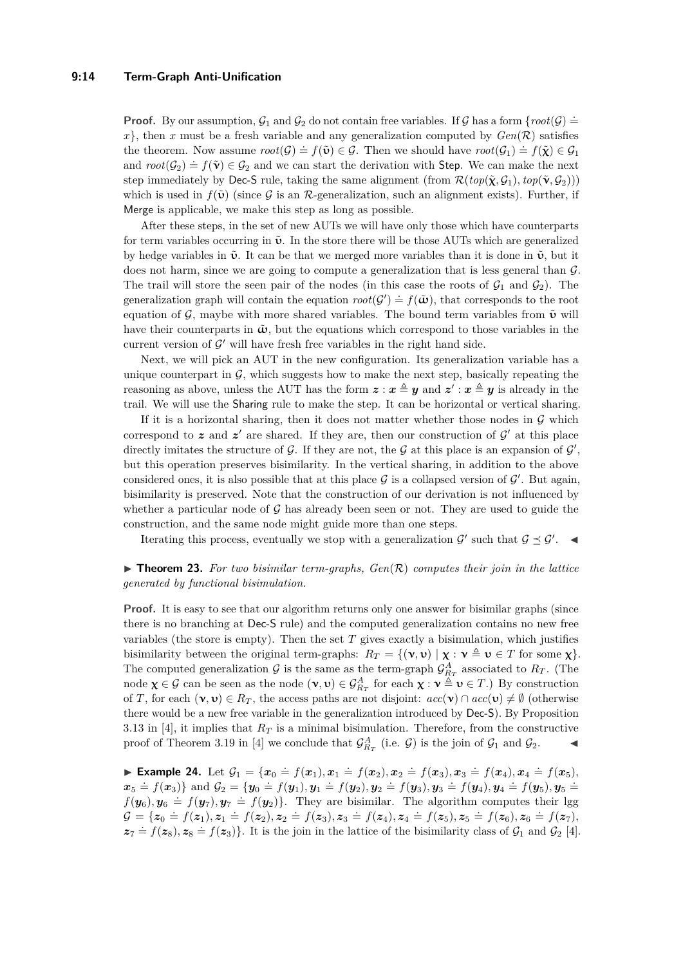### **9:14 Term-Graph Anti-Unification**

**Proof.** By our assumption,  $\mathcal{G}_1$  and  $\mathcal{G}_2$  do not contain free variables. If  $\mathcal{G}$  has a form  $\{root(\mathcal{G})\}$  $x$ , then *x* must be a fresh variable and any generalization computed by  $Gen(R)$  satisfies the theorem. Now assume  $root(\mathcal{G}) = f(\tilde{\mathbf{v}}) \in \mathcal{G}$ . Then we should have  $root(\mathcal{G}_1) = f(\tilde{\mathbf{x}}) \in \mathcal{G}_1$ and  $root(G_2) = f(\tilde{\mathbf{v}}) \in G_2$  and we can start the derivation with Step. We can make the next step immediately by Dec-S rule, taking the same alignment (from  $\mathcal{R}(top(\tilde{\mathbf{X}}, \mathcal{G}_1), top(\tilde{\mathbf{v}}, \mathcal{G}_2)))$ which is used in  $f(\tilde{\mathbf{v}})$  (since G is an R-generalization, such an alignment exists). Further, if Merge is applicable, we make this step as long as possible.

After these steps, in the set of new AUTs we will have only those which have counterparts for term variables occurring in  $\tilde{\mathbf{v}}$ . In the store there will be those AUTs which are generalized by hedge variables in  $\tilde{\mathbf{v}}$ . It can be that we merged more variables than it is done in  $\tilde{\mathbf{v}}$ , but it does not harm, since we are going to compute a generalization that is less general than  $\mathcal{G}$ . The trail will store the seen pair of the nodes (in this case the roots of  $G_1$  and  $G_2$ ). The generalization graph will contain the equation  $root(\mathcal{G}') = f(\tilde{\boldsymbol{\omega}})$ , that corresponds to the root equation of G, maybe with more shared variables. The bound term variables from  $\tilde{\mathbf{v}}$  will have their counterparts in  $\tilde{\omega}$ , but the equations which correspond to those variables in the current version of  $\mathcal{G}'$  will have fresh free variables in the right hand side.

Next, we will pick an AUT in the new configuration. Its generalization variable has a unique counterpart in  $\mathcal{G}$ , which suggests how to make the next step, basically repeating the reasoning as above, unless the AUT has the form  $z : x \triangleq y$  and  $z' : x \triangleq y$  is already in the trail. We will use the Sharing rule to make the step. It can be horizontal or vertical sharing.

If it is a horizontal sharing, then it does not matter whether those nodes in  $G$  which correspond to  $z$  and  $z'$  are shared. If they are, then our construction of  $\mathcal{G}'$  at this place directly imitates the structure of  $G$ . If they are not, the  $G$  at this place is an expansion of  $G'$ , but this operation preserves bisimilarity. In the vertical sharing, in addition to the above considered ones, it is also possible that at this place  $G$  is a collapsed version of  $G'$ . But again, bisimilarity is preserved. Note that the construction of our derivation is not influenced by whether a particular node of  $\mathcal G$  has already been seen or not. They are used to guide the construction, and the same node might guide more than one steps.

Iterating this process, eventually we stop with a generalization  $\mathcal{G}'$  such that  $\mathcal{G} \preceq \mathcal{G}'$ .

### $\triangleright$  **Theorem 23.** For two bisimilar term-graphs,  $Gen(R)$  computes their join in the lattice *generated by functional bisimulation.*

**Proof.** It is easy to see that our algorithm returns only one answer for bisimilar graphs (since there is no branching at Dec-S rule) and the computed generalization contains no new free variables (the store is empty). Then the set *T* gives exactly a bisimulation, which justifies bisimilarity between the original term-graphs:  $R_T = \{(\mathbf{v}, \mathbf{v}) \mid \mathbf{\chi} : \mathbf{v} \triangleq \mathbf{v} \in T \text{ for some } \mathbf{\chi}\}.$ The computed generalization  $G$  is the same as the term-graph  $\mathcal{G}^A_{R_T}$  associated to  $R_T$ . (The node  $\chi \in \mathcal{G}$  can be seen as the node  $(\mathbf{v}, \mathbf{v}) \in \mathcal{G}_{R_T}^A$  for each  $\chi : \mathbf{v} \stackrel{\Delta}{=} \mathbf{v} \in T$ .) By construction of *T*, for each  $(v, v) \in R_T$ , the access paths are not disjoint:  $acc(v) \cap acc(v) \neq \emptyset$  (otherwise there would be a new free variable in the generalization introduced by Dec-S). By Proposition 3.13 in [\[4\]](#page-14-0), it implies that  $R_T$  is a minimal bisimulation. Therefore, from the constructive proof of Theorem 3.19 in [\[4\]](#page-14-0) we conclude that  $\mathcal{G}_{R_T}^A$  (i.e.  $\mathcal{G}$ ) is the join of  $\mathcal{G}_1$  and  $\mathcal{G}_2$ .

► Example 24. Let  $G_1 = \{x_0 = f(x_1), x_1 = f(x_2), x_2 = f(x_3), x_3 = f(x_4), x_4 = f(x_5)\}$  $x_5 = f(x_3)$  and  $G_2 = \{y_0 = f(y_1), y_1 = f(y_2), y_2 = f(y_3), y_3 = f(y_4), y_4 = f(y_5), y_5 = f(y_6)$  $f(\mathbf{y}_6)$ ,  $\mathbf{y}_6 = f(\mathbf{y}_7)$ ,  $\mathbf{y}_7 = f(\mathbf{y}_2)$ . They are bisimilar. The algorithm computes their lgg  $\mathcal{G} = \{z_0 = f(z_1), z_1 = f(z_2), z_2 = f(z_3), z_3 = f(z_4), z_4 = f(z_5), z_5 = f(z_6), z_6 = f(z_7),$  $z_7 \doteq f(z_8), z_8 \doteq f(z_3)$ . It is the join in the lattice of the bisimilarity class of  $\mathcal{G}_1$  and  $\mathcal{G}_2$  [\[4\]](#page-14-0).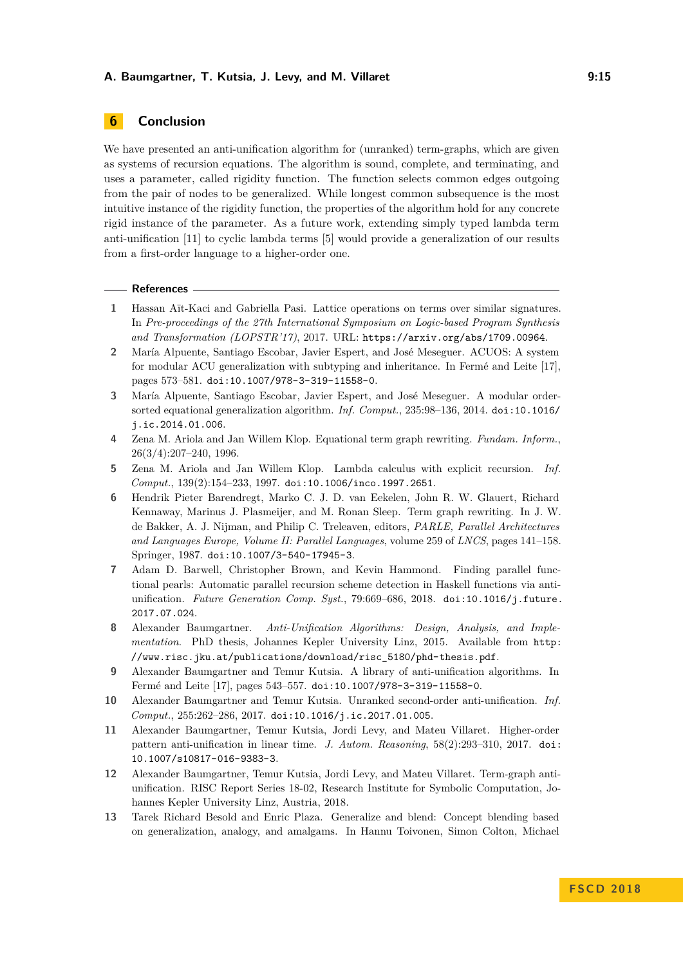# <span id="page-14-9"></span>**6 Conclusion**

We have presented an anti-unification algorithm for (unranked) term-graphs, which are given as systems of recursion equations. The algorithm is sound, complete, and terminating, and uses a parameter, called rigidity function. The function selects common edges outgoing from the pair of nodes to be generalized. While longest common subsequence is the most intuitive instance of the rigidity function, the properties of the algorithm hold for any concrete rigid instance of the parameter. As a future work, extending simply typed lambda term anti-unification [\[11\]](#page-14-12) to cyclic lambda terms [\[5\]](#page-14-13) would provide a generalization of our results from a first-order language to a higher-order one.

### **References**

- <span id="page-14-3"></span>**1** Hassan Aït-Kaci and Gabriella Pasi. Lattice operations on terms over similar signatures. In *Pre-proceedings of the 27th International Symposium on Logic-based Program Synthesis and Transformation (LOPSTR'17)*, 2017. URL: <https://arxiv.org/abs/1709.00964>.
- <span id="page-14-4"></span>**2** María Alpuente, Santiago Escobar, Javier Espert, and José Meseguer. ACUOS: A system for modular ACU generalization with subtyping and inheritance. In Fermé and Leite [\[17\]](#page-15-13), pages 573–581. [doi:10.1007/978-3-319-11558-0](http://dx.doi.org/10.1007/978-3-319-11558-0).
- <span id="page-14-10"></span>**3** María Alpuente, Santiago Escobar, Javier Espert, and José Meseguer. A modular ordersorted equational generalization algorithm. *Inf. Comput.*, 235:98–136, 2014. [doi:10.1016/](http://dx.doi.org/10.1016/j.ic.2014.01.006) [j.ic.2014.01.006](http://dx.doi.org/10.1016/j.ic.2014.01.006).
- <span id="page-14-0"></span>**4** Zena M. Ariola and Jan Willem Klop. Equational term graph rewriting. *Fundam. Inform.*, 26(3/4):207–240, 1996.
- <span id="page-14-13"></span>**5** Zena M. Ariola and Jan Willem Klop. Lambda calculus with explicit recursion. *Inf. Comput.*, 139(2):154–233, 1997. [doi:10.1006/inco.1997.2651](http://dx.doi.org/10.1006/inco.1997.2651).
- <span id="page-14-1"></span>**6** Hendrik Pieter Barendregt, Marko C. J. D. van Eekelen, John R. W. Glauert, Richard Kennaway, Marinus J. Plasmeijer, and M. Ronan Sleep. Term graph rewriting. In J. W. de Bakker, A. J. Nijman, and Philip C. Treleaven, editors, *PARLE, Parallel Architectures and Languages Europe, Volume II: Parallel Languages*, volume 259 of *LNCS*, pages 141–158. Springer, 1987. [doi:10.1007/3-540-17945-3](http://dx.doi.org/10.1007/3-540-17945-3).
- <span id="page-14-5"></span>**7** Adam D. Barwell, Christopher Brown, and Kevin Hammond. Finding parallel functional pearls: Automatic parallel recursion scheme detection in Haskell functions via antiunification. *Future Generation Comp. Syst.*, 79:669–686, 2018. [doi:10.1016/j.future.](http://dx.doi.org/10.1016/j.future.2017.07.024) [2017.07.024](http://dx.doi.org/10.1016/j.future.2017.07.024).
- <span id="page-14-2"></span>**8** Alexander Baumgartner. *Anti-Unification Algorithms: Design, Analysis, and Implementation*. PhD thesis, Johannes Kepler University Linz, 2015. Available from [http:](http://www.risc.jku.at/publications/download/risc_5180/phd-thesis.pdf) [//www.risc.jku.at/publications/download/risc\\_5180/phd-thesis.pdf](http://www.risc.jku.at/publications/download/risc_5180/phd-thesis.pdf).
- <span id="page-14-6"></span>**9** Alexander Baumgartner and Temur Kutsia. A library of anti-unification algorithms. In Fermé and Leite [\[17\]](#page-15-13), pages 543–557. [doi:10.1007/978-3-319-11558-0](http://dx.doi.org/10.1007/978-3-319-11558-0).
- <span id="page-14-7"></span>**10** Alexander Baumgartner and Temur Kutsia. Unranked second-order anti-unification. *Inf. Comput.*, 255:262–286, 2017. [doi:10.1016/j.ic.2017.01.005](http://dx.doi.org/10.1016/j.ic.2017.01.005).
- <span id="page-14-12"></span>**11** Alexander Baumgartner, Temur Kutsia, Jordi Levy, and Mateu Villaret. Higher-order pattern anti-unification in linear time. *J. Autom. Reasoning*, 58(2):293–310, 2017. [doi:](http://dx.doi.org/10.1007/s10817-016-9383-3) [10.1007/s10817-016-9383-3](http://dx.doi.org/10.1007/s10817-016-9383-3).
- <span id="page-14-11"></span>**12** Alexander Baumgartner, Temur Kutsia, Jordi Levy, and Mateu Villaret. Term-graph antiunification. RISC Report Series 18-02, Research Institute for Symbolic Computation, Johannes Kepler University Linz, Austria, 2018.
- <span id="page-14-8"></span>**13** Tarek Richard Besold and Enric Plaza. Generalize and blend: Concept blending based on generalization, analogy, and amalgams. In Hannu Toivonen, Simon Colton, Michael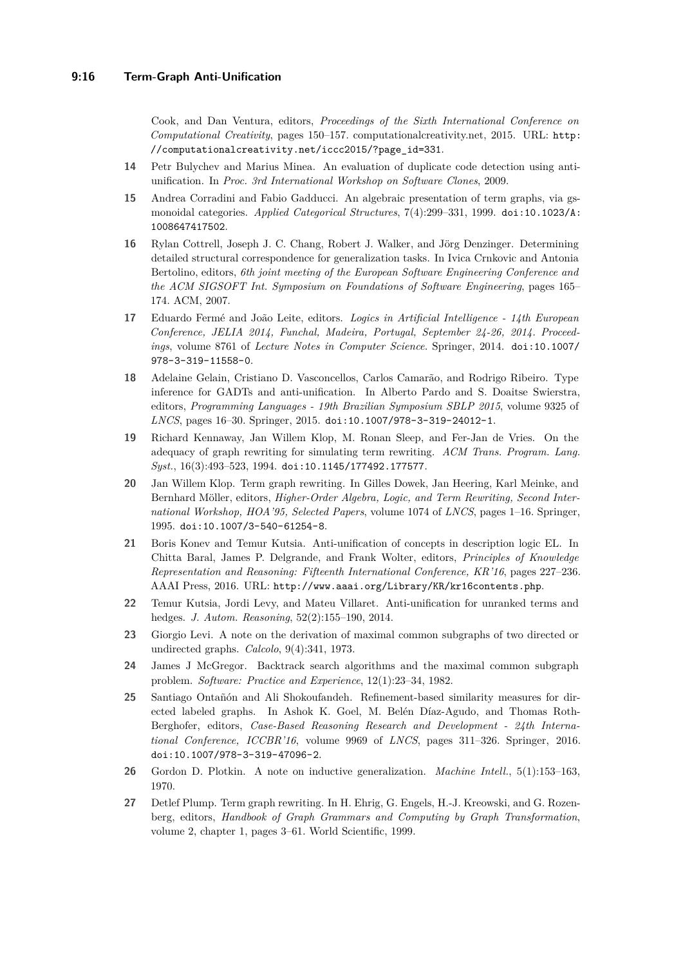Cook, and Dan Ventura, editors, *Proceedings of the Sixth International Conference on Computational Creativity*, pages 150–157. computationalcreativity.net, 2015. URL: [http:](http://computationalcreativity.net/iccc2015/?page_id=331) [//computationalcreativity.net/iccc2015/?page\\_id=331](http://computationalcreativity.net/iccc2015/?page_id=331).

- <span id="page-15-11"></span>**14** Petr Bulychev and Marius Minea. An evaluation of duplicate code detection using antiunification. In *Proc. 3rd International Workshop on Software Clones*, 2009.
- <span id="page-15-0"></span>**15** Andrea Corradini and Fabio Gadducci. An algebraic presentation of term graphs, via gsmonoidal categories. *Applied Categorical Structures*, 7(4):299–331, 1999. [doi:10.1023/A:](http://dx.doi.org/10.1023/A:1008647417502) [1008647417502](http://dx.doi.org/10.1023/A:1008647417502).
- <span id="page-15-12"></span>**16** Rylan Cottrell, Joseph J. C. Chang, Robert J. Walker, and Jörg Denzinger. Determining detailed structural correspondence for generalization tasks. In Ivica Crnkovic and Antonia Bertolino, editors, *6th joint meeting of the European Software Engineering Conference and the ACM SIGSOFT Int. Symposium on Foundations of Software Engineering*, pages 165– 174. ACM, 2007.
- <span id="page-15-13"></span>**17** Eduardo Fermé and João Leite, editors. *Logics in Artificial Intelligence - 14th European Conference, JELIA 2014, Funchal, Madeira, Portugal, September 24-26, 2014. Proceedings*, volume 8761 of *Lecture Notes in Computer Science*. Springer, 2014. [doi:10.1007/](http://dx.doi.org/10.1007/978-3-319-11558-0) [978-3-319-11558-0](http://dx.doi.org/10.1007/978-3-319-11558-0).
- <span id="page-15-8"></span>**18** Adelaine Gelain, Cristiano D. Vasconcellos, Carlos Camarão, and Rodrigo Ribeiro. Type inference for GADTs and anti-unification. In Alberto Pardo and S. Doaitse Swierstra, editors, *Programming Languages - 19th Brazilian Symposium SBLP 2015*, volume 9325 of *LNCS*, pages 16–30. Springer, 2015. [doi:10.1007/978-3-319-24012-1](http://dx.doi.org/10.1007/978-3-319-24012-1).
- <span id="page-15-1"></span>**19** Richard Kennaway, Jan Willem Klop, M. Ronan Sleep, and Fer-Jan de Vries. On the adequacy of graph rewriting for simulating term rewriting. *ACM Trans. Program. Lang. Syst.*, 16(3):493–523, 1994. [doi:10.1145/177492.177577](http://dx.doi.org/10.1145/177492.177577).
- <span id="page-15-2"></span>**20** Jan Willem Klop. Term graph rewriting. In Gilles Dowek, Jan Heering, Karl Meinke, and Bernhard Möller, editors, *Higher-Order Algebra, Logic, and Term Rewriting, Second International Workshop, HOA'95, Selected Papers*, volume 1074 of *LNCS*, pages 1–16. Springer, 1995. [doi:10.1007/3-540-61254-8](http://dx.doi.org/10.1007/3-540-61254-8).
- <span id="page-15-9"></span>**21** Boris Konev and Temur Kutsia. Anti-unification of concepts in description logic EL. In Chitta Baral, James P. Delgrande, and Frank Wolter, editors, *Principles of Knowledge Representation and Reasoning: Fifteenth International Conference, KR'16*, pages 227–236. AAAI Press, 2016. URL: <http://www.aaai.org/Library/KR/kr16contents.php>.
- <span id="page-15-4"></span>**22** Temur Kutsia, Jordi Levy, and Mateu Villaret. Anti-unification for unranked terms and hedges. *J. Autom. Reasoning*, 52(2):155–190, 2014.
- <span id="page-15-5"></span>**23** Giorgio Levi. A note on the derivation of maximal common subgraphs of two directed or undirected graphs. *Calcolo*, 9(4):341, 1973.
- <span id="page-15-6"></span>**24** James J McGregor. Backtrack search algorithms and the maximal common subgraph problem. *Software: Practice and Experience*, 12(1):23–34, 1982.
- <span id="page-15-10"></span>**25** Santiago Ontañón and Ali Shokoufandeh. Refinement-based similarity measures for directed labeled graphs. In Ashok K. Goel, M. Belén Díaz-Agudo, and Thomas Roth-Berghofer, editors, *Case-Based Reasoning Research and Development - 24th International Conference, ICCBR'16*, volume 9969 of *LNCS*, pages 311–326. Springer, 2016. [doi:10.1007/978-3-319-47096-2](http://dx.doi.org/10.1007/978-3-319-47096-2).
- <span id="page-15-7"></span>**26** Gordon D. Plotkin. A note on inductive generalization. *Machine Intell.*, 5(1):153–163, 1970.
- <span id="page-15-3"></span>**27** Detlef Plump. Term graph rewriting. In H. Ehrig, G. Engels, H.-J. Kreowski, and G. Rozenberg, editors, *Handbook of Graph Grammars and Computing by Graph Transformation*, volume 2, chapter 1, pages 3–61. World Scientific, 1999.